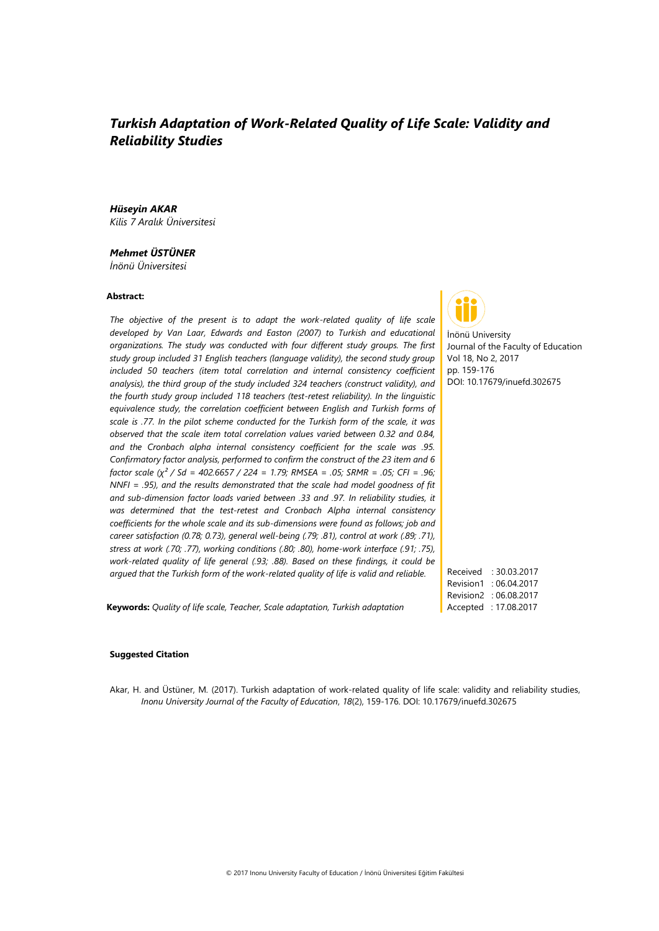# *Turkish Adaptation of Work-Related Quality of Life Scale: Validity and Reliability Studies*

#### *Hüseyin AKAR Kilis 7 Aralık Üniversitesi*

*Mehmet ÜSTÜNER*

*İnönü Üniversitesi*

### **Abstract:**

*The objective of the present is to adapt the work-related quality of life scale developed by Van Laar, Edwards and Easton (2007) to Turkish and educational organizations. The study was conducted with four different study groups. The first study group included 31 English teachers (language validity), the second study group included 50 teachers (item total correlation and internal consistency coefficient analysis), the third group of the study included 324 teachers (construct validity), and the fourth study group included 118 teachers (test-retest reliability). In the linguistic equivalence study, the correlation coefficient between English and Turkish forms of scale is .77. In the pilot scheme conducted for the Turkish form of the scale, it was observed that the scale item total correlation values varied between 0.32 and 0.84, and the Cronbach alpha internal consistency coefficient for the scale was .95. Confirmatory factor analysis, performed to confirm the construct of the 23 item and 6 factor scale (χ² / Sd = 402.6657 / 224 = 1.79; RMSEA = .05; SRMR = .05; CFI = .96; NNFI = .95), and the results demonstrated that the scale had model goodness of fit and sub-dimension factor loads varied between .33 and .97. In reliability studies, it was determined that the test-retest and Cronbach Alpha internal consistency coefficients for the whole scale and its sub-dimensions were found as follows; job and career satisfaction (0.78; 0.73), general well-being (.79; .81), control at work (.89; .71), stress at work (.70; .77), working conditions (.80; .80), home-work interface (.91; .75), work-related quality of life general (.93; .88). Based on these findings, it could be argued that the Turkish form of the work-related quality of life is valid and reliable.*

**Keywords:** *Quality of life scale, Teacher, Scale adaptation, Turkish adaptation*

#### **Suggested Citation**



İnönü University Journal of the Faculty of Education Vol 18, No 2, 2017 pp. 159-176 DOI: 10.17679/inuefd.302675

Received : 30.03.2017 Revision1 : 06.04.2017 Revision2 : 06.08.2017 Accepted : 17.08.2017

Akar, H. and Üstüner, M. (2017). Turkish adaptation of work-related quality of life scale: validity and reliability studies, *Inonu University Journal of the Faculty of Education*, *18*(2), 159-176. DOI: 10.17679/inuefd.302675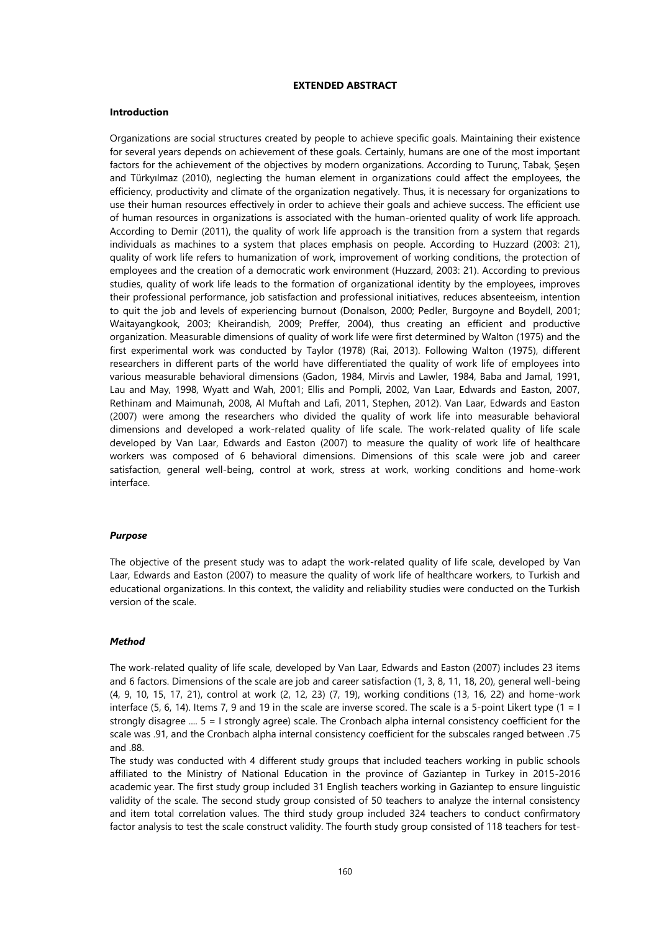### **EXTENDED ABSTRACT**

#### **Introduction**

Organizations are social structures created by people to achieve specific goals. Maintaining their existence for several years depends on achievement of these goals. Certainly, humans are one of the most important factors for the achievement of the objectives by modern organizations. According to Turunç, Tabak, Şeşen and Türkyılmaz (2010), neglecting the human element in organizations could affect the employees, the efficiency, productivity and climate of the organization negatively. Thus, it is necessary for organizations to use their human resources effectively in order to achieve their goals and achieve success. The efficient use of human resources in organizations is associated with the human-oriented quality of work life approach. According to Demir (2011), the quality of work life approach is the transition from a system that regards individuals as machines to a system that places emphasis on people. According to Huzzard (2003: 21), quality of work life refers to humanization of work, improvement of working conditions, the protection of employees and the creation of a democratic work environment (Huzzard, 2003: 21). According to previous studies, quality of work life leads to the formation of organizational identity by the employees, improves their professional performance, job satisfaction and professional initiatives, reduces absenteeism, intention to quit the job and levels of experiencing burnout (Donalson, 2000; Pedler, Burgoyne and Boydell, 2001; Waitayangkook, 2003; Kheirandish, 2009; Preffer, 2004), thus creating an efficient and productive organization. Measurable dimensions of quality of work life were first determined by Walton (1975) and the first experimental work was conducted by Taylor (1978) (Rai, 2013). Following Walton (1975), different researchers in different parts of the world have differentiated the quality of work life of employees into various measurable behavioral dimensions (Gadon, 1984, Mirvis and Lawler, 1984, Baba and Jamal, 1991, Lau and May, 1998, Wyatt and Wah, 2001; Ellis and Pompli, 2002, Van Laar, Edwards and Easton, 2007, Rethinam and Maimunah, 2008, Al Muftah and Lafi, 2011, Stephen, 2012). Van Laar, Edwards and Easton (2007) were among the researchers who divided the quality of work life into measurable behavioral dimensions and developed a work-related quality of life scale. The work-related quality of life scale developed by Van Laar, Edwards and Easton (2007) to measure the quality of work life of healthcare workers was composed of 6 behavioral dimensions. Dimensions of this scale were job and career satisfaction, general well-being, control at work, stress at work, working conditions and home-work interface.

#### *Purpose*

The objective of the present study was to adapt the work-related quality of life scale, developed by Van Laar, Edwards and Easton (2007) to measure the quality of work life of healthcare workers, to Turkish and educational organizations. In this context, the validity and reliability studies were conducted on the Turkish version of the scale.

#### *Method*

The work-related quality of life scale, developed by Van Laar, Edwards and Easton (2007) includes 23 items and 6 factors. Dimensions of the scale are job and career satisfaction (1, 3, 8, 11, 18, 20), general well-being (4, 9, 10, 15, 17, 21), control at work (2, 12, 23) (7, 19), working conditions (13, 16, 22) and home-work interface (5, 6, 14). Items 7, 9 and 19 in the scale are inverse scored. The scale is a 5-point Likert type (1 =  $\mathsf I$ strongly disagree .... 5 = I strongly agree) scale. The Cronbach alpha internal consistency coefficient for the scale was .91, and the Cronbach alpha internal consistency coefficient for the subscales ranged between .75 and .88.

The study was conducted with 4 different study groups that included teachers working in public schools affiliated to the Ministry of National Education in the province of Gaziantep in Turkey in 2015-2016 academic year. The first study group included 31 English teachers working in Gaziantep to ensure linguistic validity of the scale. The second study group consisted of 50 teachers to analyze the internal consistency and item total correlation values. The third study group included 324 teachers to conduct confirmatory factor analysis to test the scale construct validity. The fourth study group consisted of 118 teachers for test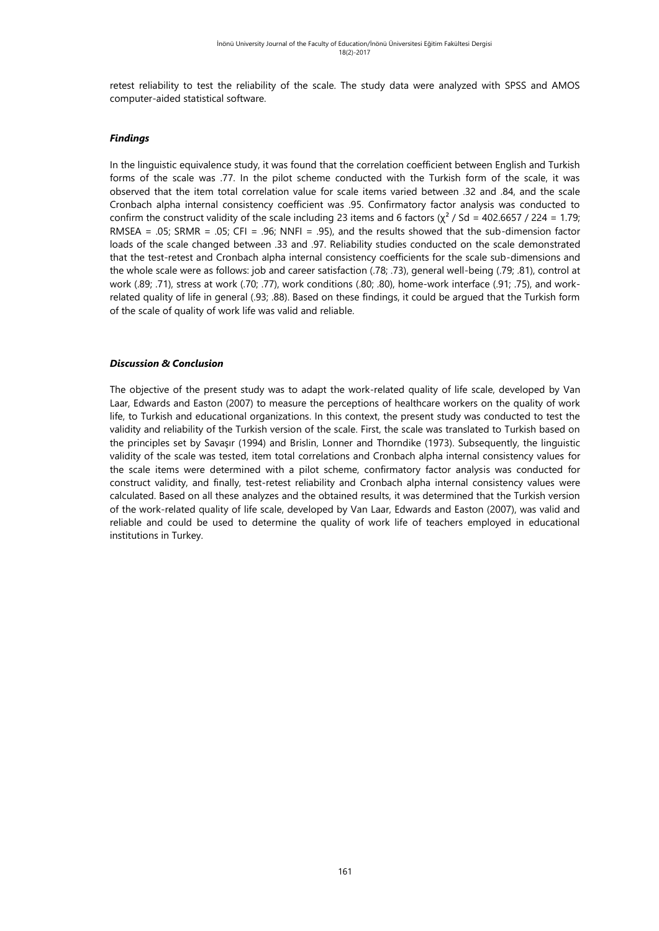retest reliability to test the reliability of the scale. The study data were analyzed with SPSS and AMOS computer-aided statistical software.

# *Findings*

In the linguistic equivalence study, it was found that the correlation coefficient between English and Turkish forms of the scale was .77. In the pilot scheme conducted with the Turkish form of the scale, it was observed that the item total correlation value for scale items varied between .32 and .84, and the scale Cronbach alpha internal consistency coefficient was .95. Confirmatory factor analysis was conducted to confirm the construct validity of the scale including 23 items and 6 factors ( $\chi^2$  / Sd = 402.6657 / 224 = 1.79; RMSEA = .05; SRMR = .05; CFI = .96; NNFI = .95), and the results showed that the sub-dimension factor loads of the scale changed between .33 and .97. Reliability studies conducted on the scale demonstrated that the test-retest and Cronbach alpha internal consistency coefficients for the scale sub-dimensions and the whole scale were as follows: job and career satisfaction (.78; .73), general well-being (.79; .81), control at work (.89; .71), stress at work (.70; .77), work conditions (.80; .80), home-work interface (.91; .75), and workrelated quality of life in general (.93; .88). Based on these findings, it could be argued that the Turkish form of the scale of quality of work life was valid and reliable.

# *Discussion & Conclusion*

The objective of the present study was to adapt the work-related quality of life scale, developed by Van Laar, Edwards and Easton (2007) to measure the perceptions of healthcare workers on the quality of work life, to Turkish and educational organizations. In this context, the present study was conducted to test the validity and reliability of the Turkish version of the scale. First, the scale was translated to Turkish based on the principles set by Savaşır (1994) and Brislin, Lonner and Thorndike (1973). Subsequently, the linguistic validity of the scale was tested, item total correlations and Cronbach alpha internal consistency values for the scale items were determined with a pilot scheme, confirmatory factor analysis was conducted for construct validity, and finally, test-retest reliability and Cronbach alpha internal consistency values were calculated. Based on all these analyzes and the obtained results, it was determined that the Turkish version of the work-related quality of life scale, developed by Van Laar, Edwards and Easton (2007), was valid and reliable and could be used to determine the quality of work life of teachers employed in educational institutions in Turkey.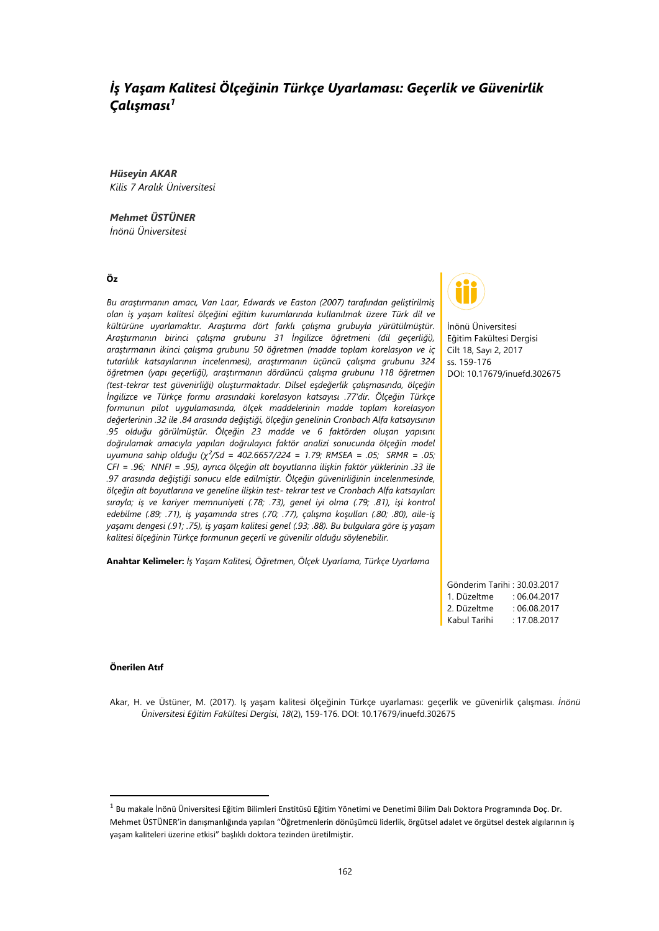# *İş Yaşam Kalitesi Ölçeğinin Türkçe Uyarlaması: Geçerlik ve Güvenirlik Çalışması<sup>1</sup>*

*Hüseyin AKAR Kilis 7 Aralık Üniversitesi*

*Mehmet ÜSTÜNER İnönü Üniversitesi*

# **Öz**

*Bu araştırmanın amacı, Van Laar, Edwards ve Easton (2007) tarafından geliştirilmiş* 

*olan iş yaşam kalitesi ölçeğini eğitim kurumlarında kullanılmak üzere Türk dil ve kültürüne uyarlamaktır. Araştırma dört farklı çalışma grubuyla yürütülmüştür. Araştırmanın birinci çalışma grubunu 31 İngilizce öğretmeni (dil geçerliği), araştırmanın ikinci çalışma grubunu 50 öğretmen (madde toplam korelasyon ve iç tutarlılık katsayılarının incelenmesi), araştırmanın üçüncü çalışma grubunu 324 öğretmen (yapı geçerliği), araştırmanın dördüncü çalışma grubunu 118 öğretmen (test-tekrar test güvenirliği) oluşturmaktadır. Dilsel eşdeğerlik çalışmasında, ölçeğin İngilizce ve Türkçe formu arasındaki korelasyon katsayısı .77'dir. Ölçeğin Türkçe formunun pilot uygulamasında, ölçek maddelerinin madde toplam korelasyon değerlerinin .32 ile .84 arasında değiştiği, ölçeğin genelinin Cronbach Alfa katsayısının .95 olduğu görülmüştür. Ölçeğin 23 madde ve 6 faktörden oluşan yapısını doğrulamak amacıyla yapılan doğrulayıcı faktör analizi sonucunda ölçeğin model uyumuna sahip olduğu (χ²/Sd = 402.6657/224 = 1.79; RMSEA = .05; SRMR = .05; CFI = .96; NNFI = .95), ayrıca ölçeğin alt boyutlarına ilişkin faktör yüklerinin .33 ile .97 arasında değiştiği sonucu elde edilmiştir. Ölçeğin güvenirliğinin incelenmesinde, ölçeğin alt boyutlarına ve geneline ilişkin test- tekrar test ve Cronbach Alfa katsayıları sırayla; iş ve kariyer memnuniyeti (.78; .73), genel iyi olma (.79; .81), işi kontrol edebilme (.89; .71), iş yaşamında stres (.70; .77), çalışma koşulları (.80; .80), aile-iş yaşamı dengesi (.91; .75), iş yaşam kalitesi genel (.93; .88). Bu bulgulara göre iş yaşam kalitesi ölçeğinin Türkçe formunun geçerli ve güvenilir olduğu söylenebilir.*

**Anahtar Kelimeler:** *İş Yaşam Kalitesi, Öğretmen, Ölçek Uyarlama, Türkçe Uyarlama*

Gönderim Tarihi : 30.03.2017 1. Düzeltme : 06.04.2017 2. Düzeltme : 06.08.2017 Kabul Tarihi : 17.08.2017

#### **Önerilen Atıf**

 $\overline{a}$ 

Akar, H. ve Üstüner, M. (2017). Iş yaşam kalitesi ölçeğinin Türkçe uyarlaması: geçerlik ve güvenirlik çalışması. *İnönü Üniversitesi Eğitim Fakültesi Dergisi*, *18*(2), 159-176. DOI: 10.17679/inuefd.302675

<sup>&</sup>lt;sup>1</sup> Bu makale İnönü Üniversitesi Eğitim Bilimleri Enstitüsü Eğitim Yönetimi ve Denetimi Bilim Dalı Doktora Programında Doç. Dr. Mehmet ÜSTÜNER'in danışmanlığında yapılan "Öğretmenlerin dönüşümcü liderlik, örgütsel adalet ve örgütsel destek algılarının iş yaşam kaliteleri üzerine etkisi" başlıklı doktora tezinden üretilmiştir.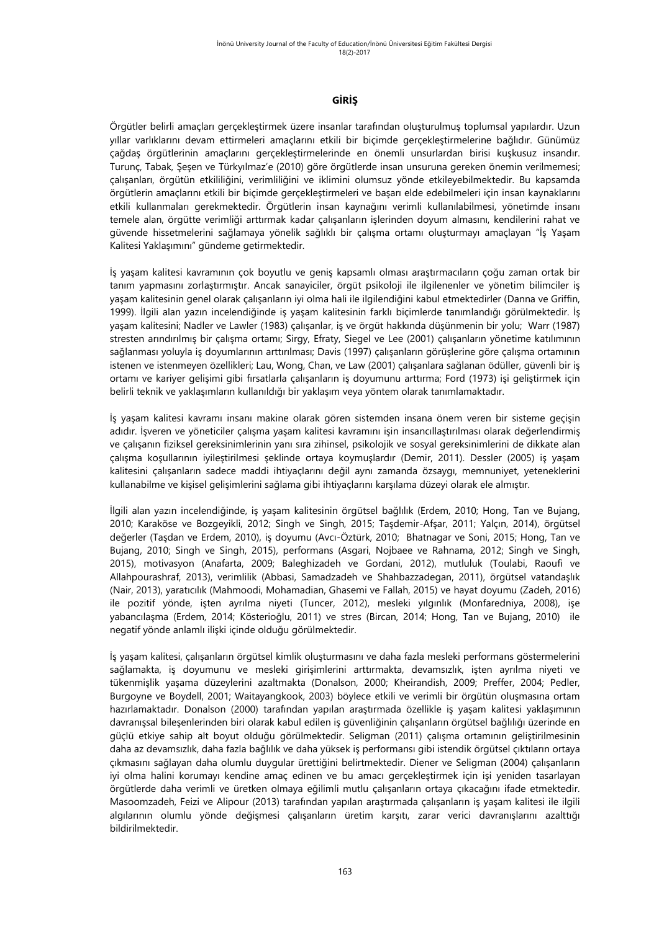# **GİRİŞ**

Örgütler belirli amaçları gerçekleştirmek üzere insanlar tarafından oluşturulmuş toplumsal yapılardır. Uzun yıllar varlıklarını devam ettirmeleri amaçlarını etkili bir biçimde gerçekleştirmelerine bağlıdır. Günümüz çağdaş örgütlerinin amaçlarını gerçekleştirmelerinde en önemli unsurlardan birisi kuşkusuz insandır. Turunç, Tabak, Şeşen ve Türkyılmaz'e (2010) göre örgütlerde insan unsuruna gereken önemin verilmemesi; çalışanları, örgütün etkililiğini, verimliliğini ve iklimini olumsuz yönde etkileyebilmektedir. Bu kapsamda örgütlerin amaçlarını etkili bir biçimde gerçekleştirmeleri ve başarı elde edebilmeleri için insan kaynaklarını etkili kullanmaları gerekmektedir. Örgütlerin insan kaynağını verimli kullanılabilmesi, yönetimde insanı temele alan, örgütte verimliği arttırmak kadar çalışanların işlerinden doyum almasını, kendilerini rahat ve güvende hissetmelerini sağlamaya yönelik sağlıklı bir çalışma ortamı oluşturmayı amaçlayan "İş Yaşam Kalitesi Yaklaşımını" gündeme getirmektedir.

İş yaşam kalitesi kavramının çok boyutlu ve geniş kapsamlı olması araştırmacıların çoğu zaman ortak bir tanım yapmasını zorlaştırmıştır. Ancak sanayiciler, örgüt psikoloji ile ilgilenenler ve yönetim bilimciler iş yaşam kalitesinin genel olarak çalışanların iyi olma hali ile ilgilendiğini kabul etmektedirler (Danna ve Griffin, 1999). İlgili alan yazın incelendiğinde iş yaşam kalitesinin farklı biçimlerde tanımlandığı görülmektedir. İş yaşam kalitesini; Nadler ve Lawler (1983) çalışanlar, iş ve örgüt hakkında düşünmenin bir yolu; Warr (1987) stresten arındırılmış bir çalışma ortamı; Sirgy, Efraty, Siegel ve Lee (2001) çalışanların yönetime katılımının sağlanması yoluyla iş doyumlarının arttırılması; Davis (1997) çalışanların görüşlerine göre çalışma ortamının istenen ve istenmeyen özellikleri; Lau, Wong, Chan, ve Law (2001) çalışanlara sağlanan ödüller, güvenli bir iş ortamı ve kariyer gelişimi gibi fırsatlarla çalışanların iş doyumunu arttırma; Ford (1973) işi geliştirmek için belirli teknik ve yaklaşımların kullanıldığı bir yaklaşım veya yöntem olarak tanımlamaktadır.

İş yaşam kalitesi kavramı insanı makine olarak gören sistemden insana önem veren bir sisteme geçişin adıdır. İsveren ve yöneticiler çalışma yaşam kalitesi kavramını işin insancıllaştırılması olarak değerlendirmiş ve çalışanın fiziksel gereksinimlerinin yanı sıra zihinsel, psikolojik ve sosyal gereksinimlerini de dikkate alan çalışma koşullarının iyileştirilmesi şeklinde ortaya koymuşlardır (Demir, 2011). Dessler (2005) iş yaşam kalitesini çalışanların sadece maddi ihtiyaçlarını değil aynı zamanda özsaygı, memnuniyet, yeteneklerini kullanabilme ve kişisel gelişimlerini sağlama gibi ihtiyaçlarını karşılama düzeyi olarak ele almıştır.

İlgili alan yazın incelendiğinde, iş yaşam kalitesinin örgütsel bağlılık (Erdem, 2010; Hong, Tan ve Bujang, 2010; Karaköse ve Bozgeyikli, 2012; Singh ve Singh, 2015; Taşdemir-Afşar, 2011; Yalçın, 2014), örgütsel değerler (Taşdan ve Erdem, 2010), iş doyumu (Avcı-Öztürk, 2010; Bhatnagar ve Soni, 2015; Hong, Tan ve Bujang, 2010; Singh ve Singh, 2015), performans (Asgari, Nojbaee ve Rahnama, 2012; Singh ve Singh, 2015), motivasyon (Anafarta, 2009; Baleghizadeh ve Gordani, 2012), mutluluk (Toulabi, Raoufi ve Allahpourashraf, 2013), verimlilik (Abbasi, Samadzadeh ve Shahbazzadegan, 2011), örgütsel vatandaşlık (Nair, 2013), yaratıcılık (Mahmoodi, Mohamadian, Ghasemi ve Fallah, 2015) ve hayat doyumu (Zadeh, 2016) ile pozitif yönde, işten ayrılma niyeti (Tuncer, 2012), mesleki yılgınlık (Monfaredniya, 2008), işe yabancılaşma (Erdem, 2014; Kösterioğlu, 2011) ve stres (Bircan, 2014; Hong, Tan ve Bujang, 2010) ile negatif yönde anlamlı ilişki içinde olduğu görülmektedir.

İş yaşam kalitesi, çalışanların örgütsel kimlik oluşturmasını ve daha fazla mesleki performans göstermelerini sağlamakta, iş doyumunu ve mesleki girişimlerini arttırmakta, devamsızlık, işten ayrılma niyeti ve tükenmişlik yaşama düzeylerini azaltmakta (Donalson, 2000; Kheirandish, 2009; Preffer, 2004; Pedler, Burgoyne ve Boydell, 2001; Waitayangkook, 2003) böylece etkili ve verimli bir örgütün oluşmasına ortam hazırlamaktadır. Donalson (2000) tarafından yapılan araştırmada özellikle iş yaşam kalitesi yaklaşımının davranışsal bileşenlerinden biri olarak kabul edilen iş güvenliğinin çalışanların örgütsel bağlılığı üzerinde en güçlü etkiye sahip alt boyut olduğu görülmektedir. Seligman (2011) çalışma ortamının geliştirilmesinin daha az devamsızlık, daha fazla bağlılık ve daha yüksek iş performansı gibi istendik örgütsel çıktıların ortaya çıkmasını sağlayan daha olumlu duygular ürettiğini belirtmektedir. Diener ve Seligman (2004) çalışanların iyi olma halini korumayı kendine amaç edinen ve bu amacı gerçekleştirmek için işi yeniden tasarlayan örgütlerde daha verimli ve üretken olmaya eğilimli mutlu çalışanların ortaya çıkacağını ifade etmektedir. Masoomzadeh, Feizi ve Alipour (2013) tarafından yapılan araştırmada çalışanların iş yaşam kalitesi ile ilgili algılarının olumlu yönde değişmesi çalışanların üretim karşıtı, zarar verici davranışlarını azalttığı bildirilmektedir.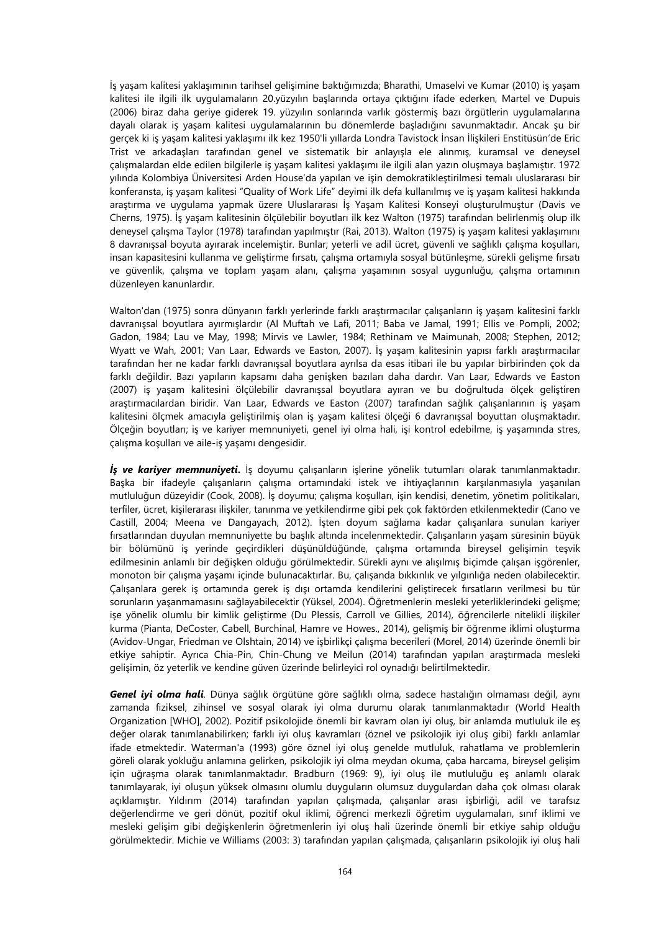İş yaşam kalitesi yaklaşımının tarihsel gelişimine baktığımızda; Bharathi, Umaselvi ve Kumar (2010) iş yaşam kalitesi ile ilgili ilk uygulamaların 20.yüzyılın başlarında ortaya çıktığını ifade ederken, Martel ve Dupuis (2006) biraz daha geriye giderek 19. yüzyılın sonlarında varlık göstermiş bazı örgütlerin uygulamalarına dayalı olarak iş yaşam kalitesi uygulamalarının bu dönemlerde başladığını savunmaktadır. Ancak şu bir gerçek ki iş yaşam kalitesi yaklaşımı ilk kez 1950'li yıllarda Londra Tavistock İnsan İlişkileri Enstitüsün'de Eric Trist ve arkadaşları tarafından genel ve sistematik bir anlayışla ele alınmış, kuramsal ve deneysel çalışmalardan elde edilen bilgilerle iş yaşam kalitesi yaklaşımı ile ilgili alan yazın oluşmaya başlamıştır. 1972 yılında Kolombiya Üniversitesi Arden House'da yapılan ve işin demokratikleştirilmesi temalı uluslararası bir konferansta, iş yaşam kalitesi "Quality of Work Life" deyimi ilk defa kullanılmış ve iş yaşam kalitesi hakkında araştırma ve uygulama yapmak üzere Uluslararası İş Yaşam Kalitesi Konseyi oluşturulmuştur (Davis ve Cherns, 1975). İş yaşam kalitesinin ölçülebilir boyutları ilk kez Walton (1975) tarafından belirlenmiş olup ilk deneysel çalışma Taylor (1978) tarafından yapılmıştır (Rai, 2013). Walton (1975) iş yaşam kalitesi yaklaşımını 8 davranışsal boyuta ayırarak incelemiştir. Bunlar; yeterli ve adil ücret, güvenli ve sağlıklı çalışma koşulları, insan kapasitesini kullanma ve geliştirme fırsatı, çalışma ortamıyla sosyal bütünleşme, sürekli gelişme fırsatı ve güvenlik, çalışma ve toplam yaşam alanı, çalışma yaşamının sosyal uygunluğu, çalışma ortamının düzenleyen kanunlardır.

Walton'dan (1975) sonra dünyanın farklı yerlerinde farklı araştırmacılar çalışanların iş yaşam kalitesini farklı davranışsal boyutlara ayırmışlardır (Al Muftah ve Lafi, 2011; Baba ve Jamal, 1991; Ellis ve Pompli, 2002; Gadon, 1984; Lau ve May, 1998; Mirvis ve Lawler, 1984; Rethinam ve Maimunah, 2008; Stephen, 2012; Wyatt ve Wah, 2001; Van Laar, Edwards ve Easton, 2007). İş yaşam kalitesinin yapısı farklı araştırmacılar tarafından her ne kadar farklı davranışsal boyutlara ayrılsa da esas itibari ile bu yapılar birbirinden çok da farklı değildir. Bazı yapıların kapsamı daha genişken bazıları daha dardır. Van Laar, Edwards ve Easton (2007) iş yaşam kalitesini ölçülebilir davranışsal boyutlara ayıran ve bu doğrultuda ölçek geliştiren araştırmacılardan biridir. Van Laar, Edwards ve Easton (2007) tarafından sağlık çalışanlarının iş yaşam kalitesini ölçmek amacıyla geliştirilmiş olan iş yaşam kalitesi ölçeği 6 davranışsal boyuttan oluşmaktadır. Ölçeğin boyutları; iş ve kariyer memnuniyeti, genel iyi olma hali, işi kontrol edebilme, iş yaşamında stres, çalışma koşulları ve aile-iş yaşamı dengesidir.

*İş ve kariyer memnuniyeti***.** İş doyumu çalışanların işlerine yönelik tutumları olarak tanımlanmaktadır. Başka bir ifadeyle çalışanların çalışma ortamındaki istek ve ihtiyaçlarının karşılanmasıyla yaşanılan mutluluğun düzeyidir (Cook, 2008). İş doyumu; çalışma koşulları, işin kendisi, denetim, yönetim politikaları, terfiler, ücret, kişilerarası ilişkiler, tanınma ve yetkilendirme gibi pek çok faktörden etkilenmektedir (Cano ve Castill, 2004; Meena ve Dangayach, 2012). İşten doyum sağlama kadar çalışanlara sunulan kariyer fırsatlarından duyulan memnuniyette bu başlık altında incelenmektedir. Çalışanların yaşam süresinin büyük bir bölümünü iş yerinde geçirdikleri düşünüldüğünde, çalışma ortamında bireysel gelişimin teşvik edilmesinin anlamlı bir değişken olduğu görülmektedir. Sürekli aynı ve alışılmış biçimde çalışan işgörenler, monoton bir çalışma yaşamı içinde bulunacaktırlar. Bu, çalışanda bıkkınlık ve yılgınlığa neden olabilecektir. Çalışanlara gerek iş ortamında gerek iş dışı ortamda kendilerini geliştirecek fırsatların verilmesi bu tür sorunların yaşanmamasını sağlayabilecektir (Yüksel, 2004). Öğretmenlerin mesleki yeterliklerindeki gelişme; işe yönelik olumlu bir kimlik geliştirme (Du Plessis, Carroll ve Gillies, 2014), öğrencilerle nitelikli ilişkiler kurma (Pianta, DeCoster, Cabell, Burchinal, Hamre ve Howes., 2014), gelişmiş bir öğrenme iklimi oluşturma (Avidov-Ungar, Friedman ve Olshtain, 2014) ve işbirlikçi çalışma becerileri (Morel, 2014) üzerinde önemli bir etkiye sahiptir. Ayrıca Chia-Pin, Chin-Chung ve Meilun (2014) tarafından yapılan araştırmada mesleki gelişimin, öz yeterlik ve kendine güven üzerinde belirleyici rol oynadığı belirtilmektedir.

*Genel iyi olma hali.* Dünya sağlık örgütüne göre sağlıklı olma, sadece hastalığın olmaması değil, aynı zamanda fiziksel, zihinsel ve sosyal olarak iyi olma durumu olarak tanımlanmaktadır (World Health Organization [WHO], 2002). Pozitif psikolojide önemli bir kavram olan iyi oluş, bir anlamda mutluluk ile eş değer olarak tanımlanabilirken; farklı iyi oluş kavramları (öznel ve psikolojik iyi oluş gibi) farklı anlamlar ifade etmektedir. Waterman'a (1993) göre öznel iyi oluş genelde mutluluk, rahatlama ve problemlerin göreli olarak yokluğu anlamına gelirken, psikolojik iyi olma meydan okuma, çaba harcama, bireysel gelişim için uğraşma olarak tanımlanmaktadır. Bradburn (1969: 9), iyi oluş ile mutluluğu eş anlamlı olarak tanımlayarak, iyi oluşun yüksek olmasını olumlu duyguların olumsuz duygulardan daha çok olması olarak açıklamıştır. Yıldırım (2014) tarafından yapılan çalışmada, çalışanlar arası işbirliği, adil ve tarafsız değerlendirme ve geri dönüt, pozitif okul iklimi, öğrenci merkezli öğretim uygulamaları, sınıf iklimi ve mesleki gelişim gibi değişkenlerin öğretmenlerin iyi oluş hali üzerinde önemli bir etkiye sahip olduğu görülmektedir. Michie ve Williams (2003: 3) tarafından yapılan çalışmada, çalışanların psikolojik iyi oluş hali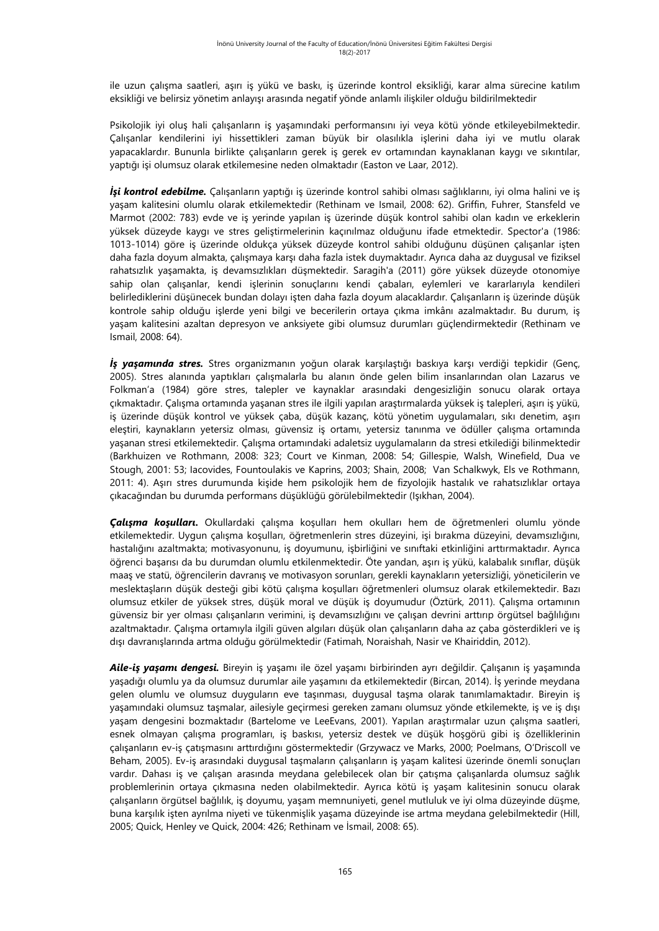ile uzun çalışma saatleri, aşırı iş yükü ve baskı, iş üzerinde kontrol eksikliği, karar alma sürecine katılım eksikliği ve belirsiz yönetim anlayışı arasında negatif yönde anlamlı ilişkiler olduğu bildirilmektedir

Psikolojik iyi oluş hali çalışanların iş yaşamındaki performansını iyi veya kötü yönde etkileyebilmektedir. Çalışanlar kendilerini iyi hissettikleri zaman büyük bir olasılıkla işlerini daha iyi ve mutlu olarak yapacaklardır. Bununla birlikte çalışanların gerek iş gerek ev ortamından kaynaklanan kaygı ve sıkıntılar, yaptığı işi olumsuz olarak etkilemesine neden olmaktadır (Easton ve Laar, 2012).

*İşi kontrol edebilme.* Çalışanların yaptığı iş üzerinde kontrol sahibi olması sağlıklarını, iyi olma halini ve iş yaşam kalitesini olumlu olarak etkilemektedir (Rethinam ve Ismail, 2008: 62). Griffin, Fuhrer, Stansfeld ve Marmot (2002: 783) evde ve iş yerinde yapılan iş üzerinde düşük kontrol sahibi olan kadın ve erkeklerin yüksek düzeyde kaygı ve stres geliştirmelerinin kaçınılmaz olduğunu ifade etmektedir. Spector'a (1986: 1013-1014) göre iş üzerinde oldukça yüksek düzeyde kontrol sahibi olduğunu düşünen çalışanlar işten daha fazla doyum almakta, çalışmaya karşı daha fazla istek duymaktadır. Ayrıca daha az duygusal ve fiziksel rahatsızlık yaşamakta, iş devamsızlıkları düşmektedir. Saragih'a (2011) göre yüksek düzeyde otonomiye sahip olan çalışanlar, kendi işlerinin sonuçlarını kendi çabaları, eylemleri ve kararlarıyla kendileri belirlediklerini düşünecek bundan dolayı işten daha fazla doyum alacaklardır. Çalışanların iş üzerinde düşük kontrole sahip olduğu işlerde yeni bilgi ve becerilerin ortaya çıkma imkânı azalmaktadır. Bu durum, iş yaşam kalitesini azaltan depresyon ve anksiyete gibi olumsuz durumları güçlendirmektedir (Rethinam ve Ismail, 2008: 64).

*İş yaşamında stres.* Stres organizmanın yoğun olarak karşılaştığı baskıya karşı verdiği tepkidir (Genç, 2005). Stres alanında yaptıkları çalışmalarla bu alanın önde gelen bilim insanlarından olan Lazarus ve Folkman'a (1984) göre stres, talepler ve kaynaklar arasındaki dengesizliğin sonucu olarak ortaya çıkmaktadır. Çalışma ortamında yaşanan stres ile ilgili yapılan araştırmalarda yüksek iş talepleri, aşırı iş yükü, iş üzerinde düşük kontrol ve yüksek çaba, düşük kazanç, kötü yönetim uygulamaları, sıkı denetim, aşırı eleştiri, kaynakların yetersiz olması, güvensiz iş ortamı, yetersiz tanınma ve ödüller çalışma ortamında yaşanan stresi etkilemektedir. Çalışma ortamındaki adaletsiz uygulamaların da stresi etkilediği bilinmektedir (Barkhuizen ve Rothmann, 2008: 323; Court ve Kinman, 2008: 54; Gillespie, Walsh, Winefield, Dua ve Stough, 2001: 53; Iacovides, Fountoulakis ve Kaprins, 2003; Shain, 2008; Van Schalkwyk, Els ve Rothmann, 2011: 4). Aşırı stres durumunda kişide hem psikolojik hem de fizyolojik hastalık ve rahatsızlıklar ortaya çıkacağından bu durumda performans düşüklüğü görülebilmektedir (Işıkhan, 2004).

*Çalışma koşulları***.** Okullardaki çalışma koşulları hem okulları hem de öğretmenleri olumlu yönde etkilemektedir. Uygun çalışma koşulları, öğretmenlerin stres düzeyini, işi bırakma düzeyini, devamsızlığını, hastalığını azaltmakta; motivasyonunu, iş doyumunu, işbirliğini ve sınıftaki etkinliğini arttırmaktadır. Ayrıca öğrenci başarısı da bu durumdan olumlu etkilenmektedir. Öte yandan, aşırı iş yükü, kalabalık sınıflar, düşük maaş ve statü, öğrencilerin davranış ve motivasyon sorunları, gerekli kaynakların yetersizliği, yöneticilerin ve meslektaşların düşük desteği gibi kötü çalışma koşulları öğretmenleri olumsuz olarak etkilemektedir. Bazı olumsuz etkiler de yüksek stres, düşük moral ve düşük iş doyumudur (Öztürk, 2011). Çalışma ortamının güvensiz bir yer olması çalışanların verimini, iş devamsızlığını ve çalışan devrini arttırıp örgütsel bağlılığını azaltmaktadır. Çalışma ortamıyla ilgili güven algıları düşük olan çalışanların daha az çaba gösterdikleri ve iş dışı davranışlarında artma olduğu görülmektedir (Fatimah, Noraishah, Nasir ve Khairiddin, 2012).

*Aile-iş yaşamı dengesi.* Bireyin iş yaşamı ile özel yaşamı birbirinden ayrı değildir. Çalışanın iş yaşamında yaşadığı olumlu ya da olumsuz durumlar aile yaşamını da etkilemektedir (Bircan, 2014). İş yerinde meydana gelen olumlu ve olumsuz duyguların eve taşınması, duygusal taşma olarak tanımlamaktadır. Bireyin iş yaşamındaki olumsuz taşmalar, ailesiyle geçirmesi gereken zamanı olumsuz yönde etkilemekte, iş ve iş dışı yaşam dengesini bozmaktadır (Bartelome ve LeeEvans, 2001). Yapılan araştırmalar uzun çalışma saatleri, esnek olmayan çalışma programları, iş baskısı, yetersiz destek ve düşük hoşgörü gibi iş özelliklerinin çalışanların ev-iş çatışmasını arttırdığını göstermektedir (Grzywacz ve Marks, 2000; Poelmans, O'Driscoll ve Beham, 2005). Ev-iş arasındaki duygusal taşmaların çalışanların iş yaşam kalitesi üzerinde önemli sonuçları vardır. Dahası iş ve çalışan arasında meydana gelebilecek olan bir çatışma çalışanlarda olumsuz sağlık problemlerinin ortaya çıkmasına neden olabilmektedir. Ayrıca kötü iş yaşam kalitesinin sonucu olarak çalışanların örgütsel bağlılık, iş doyumu, yaşam memnuniyeti, genel mutluluk ve iyi olma düzeyinde düşme, buna karşılık işten ayrılma niyeti ve tükenmişlik yaşama düzeyinde ise artma meydana gelebilmektedir (Hill, 2005; Quick, Henley ve Quick, 2004: 426; Rethinam ve İsmail, 2008: 65).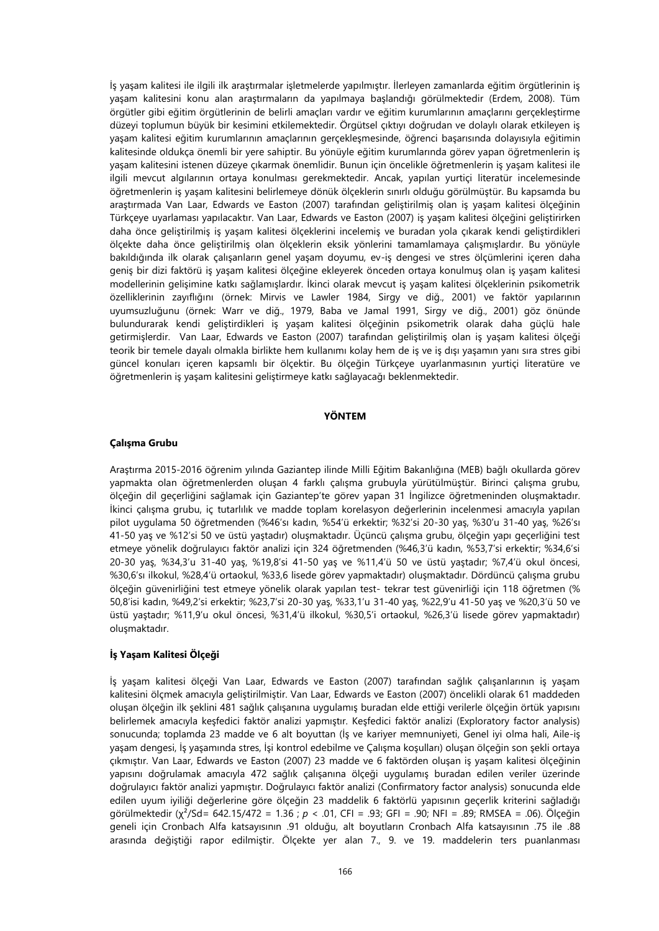İş yaşam kalitesi ile ilgili ilk araştırmalar işletmelerde yapılmıştır. İlerleyen zamanlarda eğitim örgütlerinin iş yaşam kalitesini konu alan araştırmaların da yapılmaya başlandığı görülmektedir (Erdem, 2008). Tüm örgütler gibi eğitim örgütlerinin de belirli amaçları vardır ve eğitim kurumlarının amaçlarını gerçekleştirme düzeyi toplumun büyük bir kesimini etkilemektedir. Örgütsel çıktıyı doğrudan ve dolaylı olarak etkileyen iş yaşam kalitesi eğitim kurumlarının amaçlarının gerçekleşmesinde, öğrenci başarısında dolayısıyla eğitimin kalitesinde oldukça önemli bir yere sahiptir. Bu yönüyle eğitim kurumlarında görev yapan öğretmenlerin iş yaşam kalitesini istenen düzeye çıkarmak önemlidir. Bunun için öncelikle öğretmenlerin iş yaşam kalitesi ile ilgili mevcut algılarının ortaya konulması gerekmektedir. Ancak, yapılan yurtiçi literatür incelemesinde öğretmenlerin iş yaşam kalitesini belirlemeye dönük ölçeklerin sınırlı olduğu görülmüştür. Bu kapsamda bu araştırmada Van Laar, Edwards ve Easton (2007) tarafından geliştirilmiş olan iş yaşam kalitesi ölçeğinin Türkçeye uyarlaması yapılacaktır. Van Laar, Edwards ve Easton (2007) iş yaşam kalitesi ölçeğini geliştirirken daha önce geliştirilmiş iş yaşam kalitesi ölçeklerini incelemiş ve buradan yola çıkarak kendi geliştirdikleri ölçekte daha önce geliştirilmiş olan ölçeklerin eksik yönlerini tamamlamaya çalışmışlardır. Bu yönüyle bakıldığında ilk olarak çalışanların genel yaşam doyumu, ev-iş dengesi ve stres ölçümlerini içeren daha geniş bir dizi faktörü iş yaşam kalitesi ölçeğine ekleyerek önceden ortaya konulmuş olan iş yaşam kalitesi modellerinin gelişimine katkı sağlamışlardır. İkinci olarak mevcut iş yaşam kalitesi ölçeklerinin psikometrik özelliklerinin zayıflığını (örnek: Mirvis ve Lawler 1984, Sirgy ve diğ., 2001) ve faktör yapılarının uyumsuzluğunu (örnek: Warr ve diğ., 1979, Baba ve Jamal 1991, Sirgy ve diğ., 2001) göz önünde bulundurarak kendi geliştirdikleri iş yaşam kalitesi ölçeğinin psikometrik olarak daha güçlü hale getirmişlerdir. Van Laar, Edwards ve Easton (2007) tarafından geliştirilmiş olan iş yaşam kalitesi ölçeği teorik bir temele dayalı olmakla birlikte hem kullanımı kolay hem de iş ve iş dışı yaşamın yanı sıra stres gibi güncel konuları içeren kapsamlı bir ölçektir. Bu ölçeğin Türkçeye uyarlanmasının yurtiçi literatüre ve öğretmenlerin iş yaşam kalitesini geliştirmeye katkı sağlayacağı beklenmektedir.

# **YÖNTEM**

#### **Çalışma Grubu**

Araştırma 2015-2016 öğrenim yılında Gaziantep ilinde Milli Eğitim Bakanlığına (MEB) bağlı okullarda görev yapmakta olan öğretmenlerden oluşan 4 farklı çalışma grubuyla yürütülmüştür. Birinci çalışma grubu, ölçeğin dil geçerliğini sağlamak için Gaziantep'te görev yapan 31 İngilizce öğretmeninden oluşmaktadır. İkinci çalışma grubu, iç tutarlılık ve madde toplam korelasyon değerlerinin incelenmesi amacıyla yapılan pilot uygulama 50 öğretmenden (%46'sı kadın, %54'ü erkektir; %32'si 20-30 yaş, %30'u 31-40 yaş, %26'sı 41-50 yaş ve %12'si 50 ve üstü yaştadır) oluşmaktadır. Üçüncü çalışma grubu, ölçeğin yapı geçerliğini test etmeye yönelik doğrulayıcı faktör analizi için 324 öğretmenden (%46,3'ü kadın, %53,7'si erkektir; %34,6'si 20-30 yaş, %34,3'u 31-40 yaş, %19,8'si 41-50 yaş ve %11,4'ü 50 ve üstü yaştadır; %7,4'ü okul öncesi, %30,6'sı ilkokul, %28,4'ü ortaokul, %33,6 lisede görev yapmaktadır) oluşmaktadır. Dördüncü çalışma grubu ölçeğin güvenirliğini test etmeye yönelik olarak yapılan test- tekrar test güvenirliği için 118 öğretmen (% 50,8'isi kadın, %49,2'si erkektir; %23,7'si 20-30 yaş, %33,1'u 31-40 yaş, %22,9'u 41-50 yaş ve %20,3'ü 50 ve üstü yaştadır; %11,9'u okul öncesi, %31,4'ü ilkokul, %30,5'i ortaokul, %26,3'ü lisede görev yapmaktadır) oluşmaktadır.

#### **İş Yaşam Kalitesi Ölçeği**

İş yaşam kalitesi ölçeği Van Laar, Edwards ve Easton (2007) tarafından sağlık çalışanlarının iş yaşam kalitesini ölçmek amacıyla geliştirilmiştir. Van Laar, Edwards ve Easton (2007) öncelikli olarak 61 maddeden oluşan ölçeğin ilk şeklini 481 sağlık çalışanına uygulamış buradan elde ettiği verilerle ölçeğin örtük yapısını belirlemek amacıyla keşfedici faktör analizi yapmıştır. Keşfedici faktör analizi (Exploratory factor analysis) sonucunda; toplamda 23 madde ve 6 alt boyuttan (İş ve kariyer memnuniyeti, Genel iyi olma hali, Aile-iş yaşam dengesi, İş yaşamında stres, İşi kontrol edebilme ve Çalışma koşulları) oluşan ölçeğin son şekli ortaya çıkmıştır. Van Laar, Edwards ve Easton (2007) 23 madde ve 6 faktörden oluşan iş yaşam kalitesi ölçeğinin yapısını doğrulamak amacıyla 472 sağlık çalışanına ölçeği uygulamış buradan edilen veriler üzerinde doğrulayıcı faktör analizi yapmıştır. Doğrulayıcı faktör analizi (Confirmatory factor analysis) sonucunda elde edilen uyum iyiliği değerlerine göre ölçeğin 23 maddelik 6 faktörlü yapısının geçerlik kriterini sağladığı görülmektedir (χ²/Sd= 642.15/472 = 1.36 ; *p* < .01, CFI = .93; GFI = .90; NFI = .89; RMSEA = .06). Ölçeğin geneli için Cronbach Alfa katsayısının .91 olduğu, alt boyutların Cronbach Alfa katsayısının .75 ile .88 arasında değiştiği rapor edilmiştir. Ölçekte yer alan 7., 9. ve 19. maddelerin ters puanlanması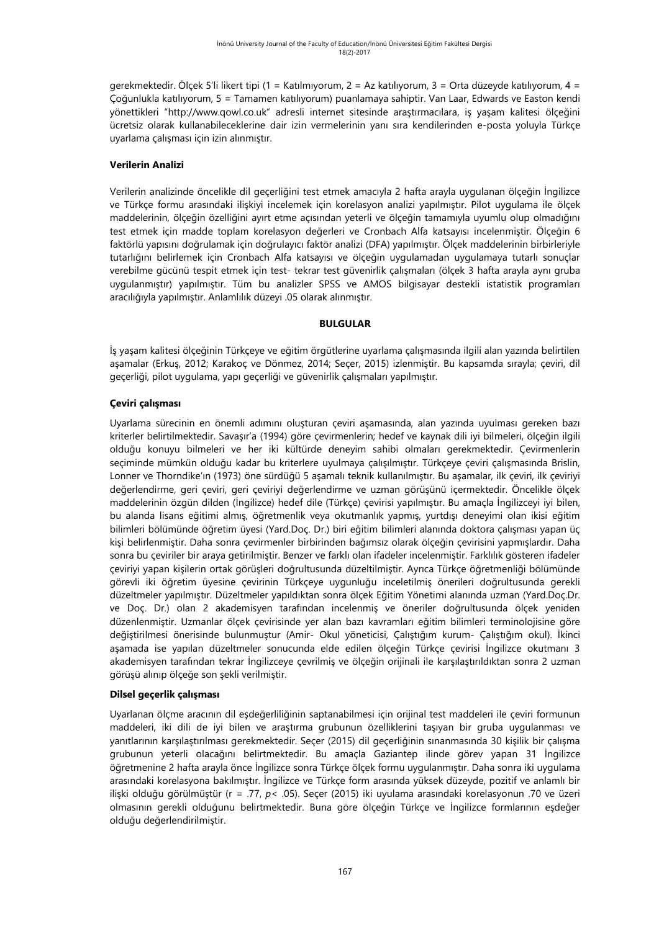gerekmektedir. Ölçek 5'li likert tipi (1 = Katılmıyorum, 2 = Az katılıyorum, 3 = Orta düzeyde katılıyorum, 4 = Çoğunlukla katılıyorum, 5 = Tamamen katılıyorum) puanlamaya sahiptir. Van Laar, Edwards ve Easton kendi yönettikleri "http://www.qowl.co.uk" adresli internet sitesinde araştırmacılara, iş yaşam kalitesi ölçeğini ücretsiz olarak kullanabileceklerine dair izin vermelerinin yanı sıra kendilerinden e-posta yoluyla Türkçe uyarlama çalışması için izin alınmıştır.

# **Verilerin Analizi**

Verilerin analizinde öncelikle dil geçerliğini test etmek amacıyla 2 hafta arayla uygulanan ölçeğin İngilizce ve Türkçe formu arasındaki ilişkiyi incelemek için korelasyon analizi yapılmıştır. Pilot uygulama ile ölçek maddelerinin, ölçeğin özelliğini ayırt etme açısından yeterli ve ölçeğin tamamıyla uyumlu olup olmadığını test etmek için madde toplam korelasyon değerleri ve Cronbach Alfa katsayısı incelenmiştir. Ölçeğin 6 faktörlü yapısını doğrulamak için doğrulayıcı faktör analizi (DFA) yapılmıştır. Ölçek maddelerinin birbirleriyle tutarlığını belirlemek için Cronbach Alfa katsayısı ve ölçeğin uygulamadan uygulamaya tutarlı sonuçlar verebilme gücünü tespit etmek için test- tekrar test güvenirlik çalışmaları (ölçek 3 hafta arayla aynı gruba uygulanmıştır) yapılmıştır. Tüm bu analizler SPSS ve AMOS bilgisayar destekli istatistik programları aracılığıyla yapılmıştır. Anlamlılık düzeyi .05 olarak alınmıştır.

# **BULGULAR**

İş yaşam kalitesi ölçeğinin Türkçeye ve eğitim örgütlerine uyarlama çalışmasında ilgili alan yazında belirtilen aşamalar (Erkuş, 2012; Karakoç ve Dönmez, 2014; Seçer, 2015) izlenmiştir. Bu kapsamda sırayla; çeviri, dil geçerliği, pilot uygulama, yapı geçerliği ve güvenirlik çalışmaları yapılmıştır.

# **Çeviri çalışması**

Uyarlama sürecinin en önemli adımını oluşturan çeviri aşamasında, alan yazında uyulması gereken bazı kriterler belirtilmektedir. Savaşır'a (1994) göre çevirmenlerin; hedef ve kaynak dili iyi bilmeleri, ölçeğin ilgili olduğu konuyu bilmeleri ve her iki kültürde deneyim sahibi olmaları gerekmektedir. Çevirmenlerin seçiminde mümkün olduğu kadar bu kriterlere uyulmaya çalışılmıştır. Türkçeye çeviri çalışmasında Brislin, Lonner ve Thorndike'ın (1973) öne sürdüğü 5 aşamalı teknik kullanılmıştır. Bu aşamalar, ilk çeviri, ilk çeviriyi değerlendirme, geri çeviri, geri çeviriyi değerlendirme ve uzman görüşünü içermektedir. Öncelikle ölçek maddelerinin özgün dilden (İngilizce) hedef dile (Türkçe) çevirisi yapılmıştır. Bu amaçla İngilizceyi iyi bilen, bu alanda lisans eğitimi almış, öğretmenlik veya okutmanlık yapmış, yurtdışı deneyimi olan ikisi eğitim bilimleri bölümünde öğretim üyesi (Yard.Doç. Dr.) biri eğitim bilimleri alanında doktora çalışması yapan üç kişi belirlenmiştir. Daha sonra çevirmenler birbirinden bağımsız olarak ölçeğin çevirisini yapmışlardır. Daha sonra bu çeviriler bir araya getirilmiştir. Benzer ve farklı olan ifadeler incelenmiştir. Farklılık gösteren ifadeler çeviriyi yapan kişilerin ortak görüşleri doğrultusunda düzeltilmiştir. Ayrıca Türkçe öğretmenliği bölümünde görevli iki öğretim üyesine çevirinin Türkçeye uygunluğu inceletilmiş önerileri doğrultusunda gerekli düzeltmeler yapılmıştır. Düzeltmeler yapıldıktan sonra ölçek Eğitim Yönetimi alanında uzman (Yard.Doç.Dr. ve Doç. Dr.) olan 2 akademisyen tarafından incelenmiş ve öneriler doğrultusunda ölçek yeniden düzenlenmiştir. Uzmanlar ölçek çevirisinde yer alan bazı kavramları eğitim bilimleri terminolojisine göre değiştirilmesi önerisinde bulunmuştur (Amir- Okul yöneticisi, Çalıştığım kurum- Çalıştığım okul). İkinci aşamada ise yapılan düzeltmeler sonucunda elde edilen ölçeğin Türkçe çevirisi İngilizce okutmanı 3 akademisyen tarafından tekrar İngilizceye çevrilmiş ve ölçeğin orijinali ile karşılaştırıldıktan sonra 2 uzman görüşü alınıp ölçeğe son şekli verilmiştir.

# **Dilsel geçerlik çalışması**

Uyarlanan ölçme aracının dil eşdeğerliliğinin saptanabilmesi için orijinal test maddeleri ile çeviri formunun maddeleri, iki dili de iyi bilen ve araştırma grubunun özelliklerini taşıyan bir gruba uygulanması ve yanıtlarının karşılaştırılması gerekmektedir. Seçer (2015) dil geçerliğinin sınanmasında 30 kişilik bir çalışma grubunun yeterli olacağını belirtmektedir. Bu amaçla Gaziantep ilinde görev yapan 31 İngilizce öğretmenine 2 hafta arayla önce İngilizce sonra Türkçe ölçek formu uygulanmıştır. Daha sonra iki uygulama arasındaki korelasyona bakılmıştır. İngilizce ve Türkçe form arasında yüksek düzeyde, pozitif ve anlamlı bir ilişki olduğu görülmüştür (r = .77, *p*< .05). Seçer (2015) iki uyulama arasındaki korelasyonun .70 ve üzeri olmasının gerekli olduğunu belirtmektedir. Buna göre ölçeğin Türkçe ve İngilizce formlarının eşdeğer olduğu değerlendirilmiştir.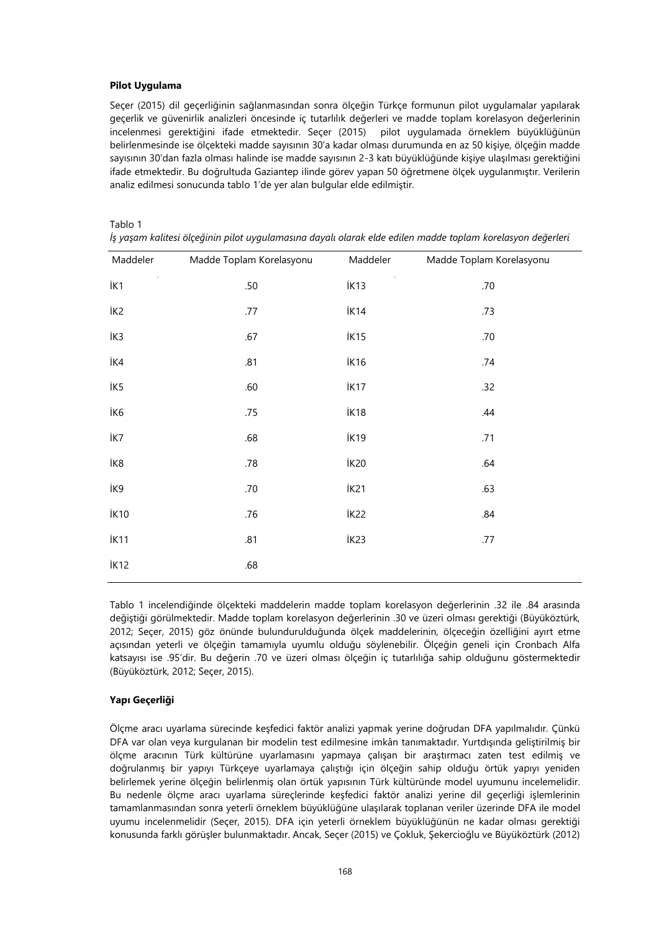### **Pilot Uygulama**

Seçer (2015) dil geçerliğinin sağlanmasından sonra ölçeğin Türkçe formunun pilot uygulamalar yapılarak geçerlik ve güvenirlik analizleri öncesinde iç tutarlılık değerleri ve madde toplam korelasyon değerlerinin incelenmesi gerektiğini ifade etmektedir. Seçer (2015) pilot uygulamada örneklem büyüklüğünün belirlenmesinde ise ölçekteki madde sayısının 30'a kadar olması durumunda en az 50 kişiye, ölçeğin madde sayısının 30'dan fazla olması halinde ise madde sayısının 2-3 katı büyüklüğünde kişiye ulaşılması gerektiğini ifade etmektedir. Bu doğrultuda Gaziantep ilinde görev yapan 50 öğretmene ölçek uygulanmıştır. Verilerin analiz edilmesi sonucunda tablo 1'de yer alan bulgular elde edilmiştir.

| Maddeler | Madde Toplam Korelasyonu | Maddeler | Madde Toplam Korelasyonu |
|----------|--------------------------|----------|--------------------------|
| İK1      | .50                      | İK13     | .70                      |
| İK2      | .77                      | İK14     | .73                      |
| İK3      | .67                      | İK15     | .70                      |
| İK4      | .81                      | İK16     | .74                      |
| İK5      | .60                      | İK17     | .32                      |
| İK6      | .75                      | İK18     | .44                      |
| İK7      | $.68\,$                  | İK19     | .71                      |
| İK8      | .78                      | İK20     | .64                      |
| İK9      | .70                      | İK21     | .63                      |
| İK10     | .76                      | İK22     | .84                      |
| İK11     | .81                      | İK23     | .77                      |
| İK12     | $.68\,$                  |          |                          |
|          |                          |          |                          |

Tablo 1

*İş yaşam kalitesi ölçeğinin pilot uygulamasına dayalı olarak elde edilen madde toplam korelasyon değerleri*

Tablo 1 incelendiğinde ölçekteki maddelerin madde toplam korelasyon değerlerinin .32 ile .84 arasında değiştiği görülmektedir. Madde toplam korelasyon değerlerinin .30 ve üzeri olması gerektiği (Büyüköztürk, 2012; Seçer, 2015) göz önünde bulundurulduğunda ölçek maddelerinin, ölçeceğin özelliğini ayırt etme açısından yeterli ve ölçeğin tamamıyla uyumlu olduğu söylenebilir. Ölçeğin geneli için Cronbach Alfa katsayısı ise .95'dir. Bu değerin .70 ve üzeri olması ölçeğin iç tutarlılığa sahip olduğunu göstermektedir (Büyüköztürk, 2012; Seçer, 2015).

# **Yapı Geçerliği**

Ölçme aracı uyarlama sürecinde keşfedici faktör analizi yapmak yerine doğrudan DFA yapılmalıdır. Çünkü DFA var olan veya kurgulanan bir modelin test edilmesine imkân tanımaktadır. Yurtdışında geliştirilmiş bir ölçme aracının Türk kültürüne uyarlamasını yapmaya çalışan bir araştırmacı zaten test edilmiş ve doğrulanmış bir yapıyı Türkçeye uyarlamaya çalıştığı için ölçeğin sahip olduğu örtük yapıyı yeniden belirlemek yerine ölçeğin belirlenmiş olan örtük yapısının Türk kültüründe model uyumunu incelemelidir. Bu nedenle ölçme aracı uyarlama süreçlerinde keşfedici faktör analizi yerine dil geçerliği işlemlerinin tamamlanmasından sonra yeterli örneklem büyüklüğüne ulaşılarak toplanan veriler üzerinde DFA ile model uyumu incelenmelidir (Seçer, 2015). DFA için yeterli örneklem büyüklüğünün ne kadar olması gerektiği konusunda farklı görüşler bulunmaktadır. Ancak, Seçer (2015) ve Çokluk, Şekercioğlu ve Büyüköztürk (2012)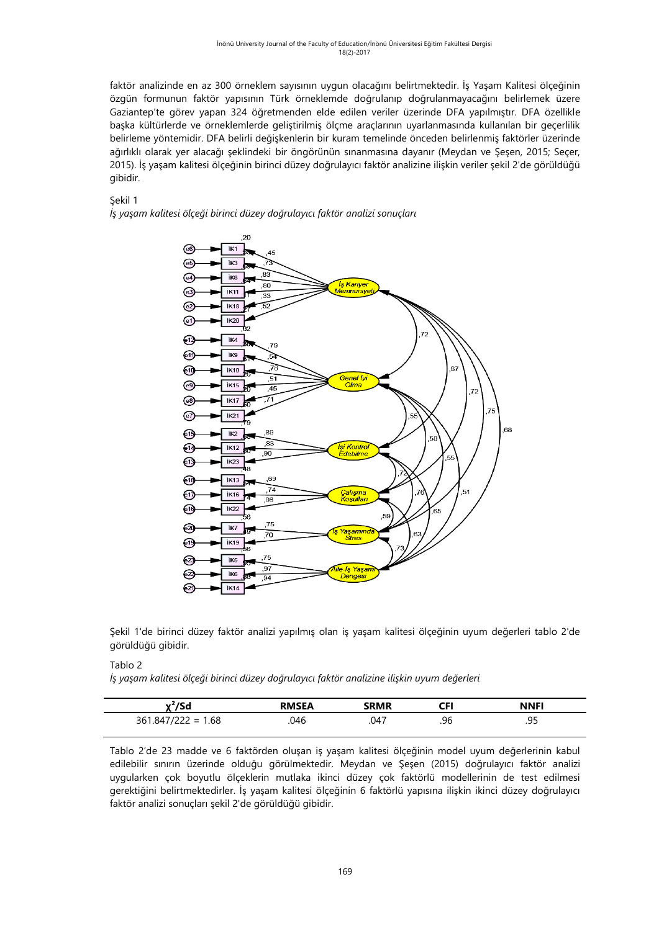faktör analizinde en az 300 örneklem sayısının uygun olacağını belirtmektedir. İş Yaşam Kalitesi ölçeğinin özgün formunun faktör yapısının Türk örneklemde doğrulanıp doğrulanmayacağını belirlemek üzere Gaziantep'te görev yapan 324 öğretmenden elde edilen veriler üzerinde DFA yapılmıştır. DFA özellikle başka kültürlerde ve örneklemlerde geliştirilmiş ölçme araçlarının uyarlanmasında kullanılan bir geçerlilik belirleme yöntemidir. DFA belirli değişkenlerin bir kuram temelinde önceden belirlenmiş faktörler üzerinde ağırlıklı olarak yer alacağı şeklindeki bir öngörünün sınanmasına dayanır (Meydan ve Şeşen, 2015; Seçer, 2015). İş yaşam kalitesi ölçeğinin birinci düzey doğrulayıcı faktör analizine ilişkin veriler şekil 2'de görüldüğü gibidir.

### Şekil 1

*İş yaşam kalitesi ölçeği birinci düzey doğrulayıcı faktör analizi sonuçları*



Şekil 1'de birinci düzey faktör analizi yapılmış olan iş yaşam kalitesi ölçeğinin uyum değerleri tablo 2'de görüldüğü gibidir.

Tablo 2 *İş yaşam kalitesi ölçeği birinci düzey doğrulayıcı faktör analizine ilişkin uyum değerleri*

| 70 J                 | <b>`MSEA</b> | <b>SRMR</b> |     | NNFI   |  |
|----------------------|--------------|-------------|-----|--------|--|
| $361.847/222 = 1.68$ | .046         | .047        | .96 | ۵r<br> |  |

Tablo 2'de 23 madde ve 6 faktörden oluşan iş yaşam kalitesi ölçeğinin model uyum değerlerinin kabul edilebilir sınırın üzerinde olduğu görülmektedir. Meydan ve Şeşen (2015) doğrulayıcı faktör analizi uygularken çok boyutlu ölçeklerin mutlaka ikinci düzey çok faktörlü modellerinin de test edilmesi gerektiğini belirtmektedirler. İş yaşam kalitesi ölçeğinin 6 faktörlü yapısına ilişkin ikinci düzey doğrulayıcı faktör analizi sonuçları şekil 2'de görüldüğü gibidir.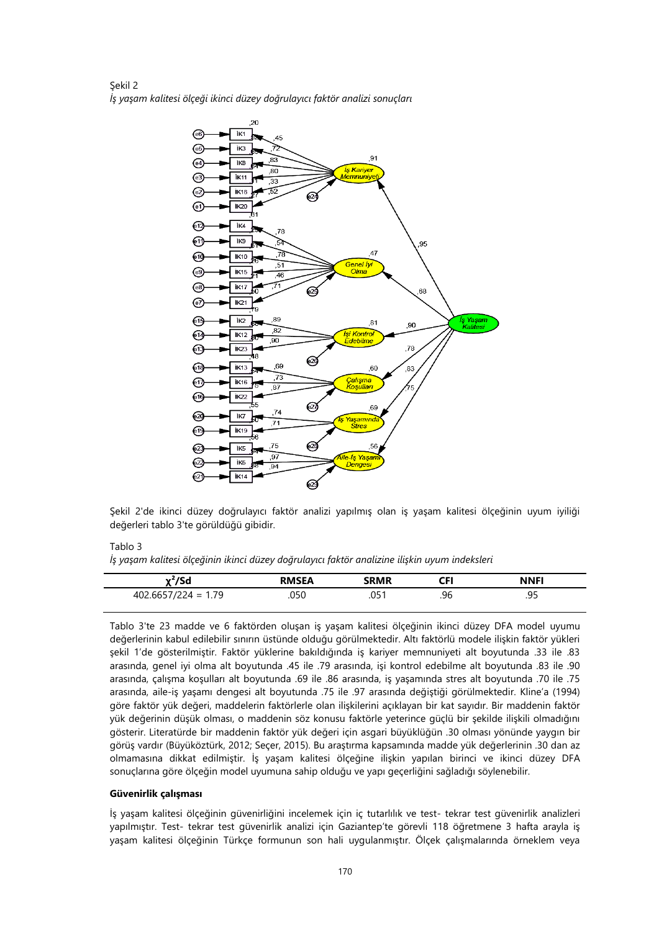Sekil 2 *İş yaşam kalitesi ölçeği ikinci düzey doğrulayıcı faktör analizi sonuçları*



Şekil 2'de ikinci düzey doğrulayıcı faktör analizi yapılmış olan iş yaşam kalitesi ölçeğinin uyum iyiliği değerleri tablo 3'te görüldüğü gibidir.

#### Tablo 3

*İş yaşam kalitesi ölçeğinin ikinci düzey doğrulayıcı faktör analizine ilişkin uyum indeksleri*

| .2102<br>' Su         | <b>RMSEA</b> | SRMR | ΓFΙ | <b>NNFI</b> |
|-----------------------|--------------|------|-----|-------------|
| $402.6657/224 = 1.79$ | .050         | .051 | .96 | ۹L<br>. ٻ   |

Tablo 3'te 23 madde ve 6 faktörden oluşan iş yaşam kalitesi ölçeğinin ikinci düzey DFA model uyumu değerlerinin kabul edilebilir sınırın üstünde olduğu görülmektedir. Altı faktörlü modele ilişkin faktör yükleri şekil 1'de gösterilmiştir. Faktör yüklerine bakıldığında iş kariyer memnuniyeti alt boyutunda .33 ile .83 arasında, genel iyi olma alt boyutunda .45 ile .79 arasında, işi kontrol edebilme alt boyutunda .83 ile .90 arasında, çalışma koşulları alt boyutunda .69 ile .86 arasında, iş yaşamında stres alt boyutunda .70 ile .75 arasında, aile-iş yaşamı dengesi alt boyutunda .75 ile .97 arasında değiştiği görülmektedir. Kline'a (1994) göre faktör yük değeri, maddelerin faktörlerle olan ilişkilerini açıklayan bir kat sayıdır. Bir maddenin faktör yük değerinin düşük olması, o maddenin söz konusu faktörle yeterince güçlü bir şekilde ilişkili olmadığını gösterir. Literatürde bir maddenin faktör yük değeri için asgari büyüklüğün .30 olması yönünde yaygın bir görüş vardır (Büyüköztürk, 2012; Seçer, 2015). Bu araştırma kapsamında madde yük değerlerinin .30 dan az olmamasına dikkat edilmiştir. İş yaşam kalitesi ölçeğine ilişkin yapılan birinci ve ikinci düzey DFA sonuçlarına göre ölçeğin model uyumuna sahip olduğu ve yapı geçerliğini sağladığı söylenebilir.

#### **Güvenirlik çalışması**

İş yaşam kalitesi ölçeğinin güvenirliğini incelemek için iç tutarlılık ve test- tekrar test güvenirlik analizleri yapılmıştır. Test- tekrar test güvenirlik analizi için Gaziantep'te görevli 118 öğretmene 3 hafta arayla iş yaşam kalitesi ölçeğinin Türkçe formunun son hali uygulanmıştır. Ölçek çalışmalarında örneklem veya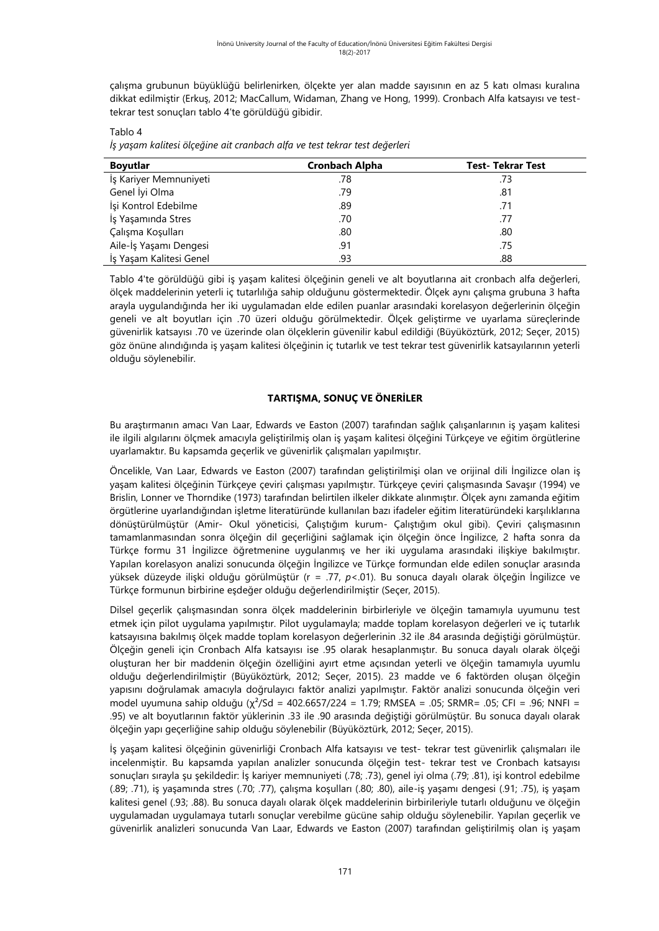çalışma grubunun büyüklüğü belirlenirken, ölçekte yer alan madde sayısının en az 5 katı olması kuralına dikkat edilmiştir (Erkuş, 2012; MacCallum, Widaman, Zhang ve Hong, 1999). Cronbach Alfa katsayısı ve testtekrar test sonuçları tablo 4'te görüldüğü gibidir.

| <b>Boyutlar</b>         | <b>Cronbach Alpha</b> | <b>Test-Tekrar Test</b> |  |  |
|-------------------------|-----------------------|-------------------------|--|--|
| Iş Kariyer Memnuniyeti  | .78                   | .73                     |  |  |
| Genel lyi Olma          | .79                   | .81                     |  |  |
| İşi Kontrol Edebilme    | .89                   | .71                     |  |  |
| İş Yaşamında Stres      | .70                   | .77                     |  |  |
| Çalışma Koşulları       | .80                   | .80                     |  |  |
| Aile-İş Yaşamı Dengesi  | .91                   | .75                     |  |  |
| İş Yaşam Kalitesi Genel | .93                   | .88                     |  |  |

Tablo 4

*İş yaşam kalitesi ölçeğine ait cranbach alfa ve test tekrar test değerleri*

Tablo 4'te görüldüğü gibi iş yaşam kalitesi ölçeğinin geneli ve alt boyutlarına ait cronbach alfa değerleri, ölçek maddelerinin yeterli iç tutarlılığa sahip olduğunu göstermektedir. Ölçek aynı çalışma grubuna 3 hafta arayla uygulandığında her iki uygulamadan elde edilen puanlar arasındaki korelasyon değerlerinin ölçeğin geneli ve alt boyutları için .70 üzeri olduğu görülmektedir. Ölçek geliştirme ve uyarlama süreçlerinde güvenirlik katsayısı .70 ve üzerinde olan ölçeklerin güvenilir kabul edildiği (Büyüköztürk, 2012; Seçer, 2015) göz önüne alındığında iş yaşam kalitesi ölçeğinin iç tutarlık ve test tekrar test güvenirlik katsayılarının yeterli olduğu söylenebilir.

# **TARTIŞMA, SONUÇ VE ÖNERİLER**

Bu araştırmanın amacı Van Laar, Edwards ve Easton (2007) tarafından sağlık çalışanlarının iş yaşam kalitesi ile ilgili algılarını ölçmek amacıyla geliştirilmiş olan iş yaşam kalitesi ölçeğini Türkçeye ve eğitim örgütlerine uyarlamaktır. Bu kapsamda geçerlik ve güvenirlik çalışmaları yapılmıştır.

Öncelikle, Van Laar, Edwards ve Easton (2007) tarafından geliştirilmişi olan ve orijinal dili İngilizce olan iş yaşam kalitesi ölçeğinin Türkçeye çeviri çalışması yapılmıştır. Türkçeye çeviri çalışmasında Savaşır (1994) ve Brislin, Lonner ve Thorndike (1973) tarafından belirtilen ilkeler dikkate alınmıştır. Ölçek aynı zamanda eğitim örgütlerine uyarlandığından işletme literatüründe kullanılan bazı ifadeler eğitim literatüründeki karşılıklarına dönüştürülmüştür (Amir- Okul yöneticisi, Çalıştığım kurum- Çalıştığım okul gibi). Çeviri çalışmasının tamamlanmasından sonra ölçeğin dil geçerliğini sağlamak için ölçeğin önce İngilizce, 2 hafta sonra da Türkçe formu 31 İngilizce öğretmenine uygulanmış ve her iki uygulama arasındaki ilişkiye bakılmıştır. Yapılan korelasyon analizi sonucunda ölçeğin İngilizce ve Türkçe formundan elde edilen sonuçlar arasında yüksek düzeyde ilişki olduğu görülmüştür (r = .77, *p*<.01). Bu sonuca dayalı olarak ölçeğin İngilizce ve Türkçe formunun birbirine eşdeğer olduğu değerlendirilmiştir (Seçer, 2015).

Dilsel geçerlik çalışmasından sonra ölçek maddelerinin birbirleriyle ve ölçeğin tamamıyla uyumunu test etmek için pilot uygulama yapılmıştır. Pilot uygulamayla; madde toplam korelasyon değerleri ve iç tutarlık katsayısına bakılmış ölçek madde toplam korelasyon değerlerinin .32 ile .84 arasında değiştiği görülmüştür. Ölçeğin geneli için Cronbach Alfa katsayısı ise .95 olarak hesaplanmıştır. Bu sonuca dayalı olarak ölçeği oluşturan her bir maddenin ölçeğin özelliğini ayırt etme açısından yeterli ve ölçeğin tamamıyla uyumlu olduğu değerlendirilmiştir (Büyüköztürk, 2012; Seçer, 2015). 23 madde ve 6 faktörden oluşan ölçeğin yapısını doğrulamak amacıyla doğrulayıcı faktör analizi yapılmıştır. Faktör analizi sonucunda ölçeğin veri model uyumuna sahip olduğu ( $\chi^2$ /Sd = 402.6657/224 = 1.79; RMSEA = .05; SRMR= .05; CFI = .96; NNFI = .95) ve alt boyutlarının faktör yüklerinin .33 ile .90 arasında değiştiği görülmüştür. Bu sonuca dayalı olarak ölçeğin yapı geçerliğine sahip olduğu söylenebilir (Büyüköztürk, 2012; Seçer, 2015).

İş yaşam kalitesi ölçeğinin güvenirliği Cronbach Alfa katsayısı ve test- tekrar test güvenirlik çalışmaları ile incelenmiştir. Bu kapsamda yapılan analizler sonucunda ölçeğin test- tekrar test ve Cronbach katsayısı sonuçları sırayla şu şekildedir: İş kariyer memnuniyeti (.78; .73), genel iyi olma (.79; .81), işi kontrol edebilme (.89; .71), iş yaşamında stres (.70; .77), çalışma koşulları (.80; .80), aile-iş yaşamı dengesi (.91; .75), iş yaşam kalitesi genel (.93; .88). Bu sonuca dayalı olarak ölçek maddelerinin birbirileriyle tutarlı olduğunu ve ölçeğin uygulamadan uygulamaya tutarlı sonuçlar verebilme gücüne sahip olduğu söylenebilir. Yapılan geçerlik ve güvenirlik analizleri sonucunda Van Laar, Edwards ve Easton (2007) tarafından geliştirilmiş olan iş yaşam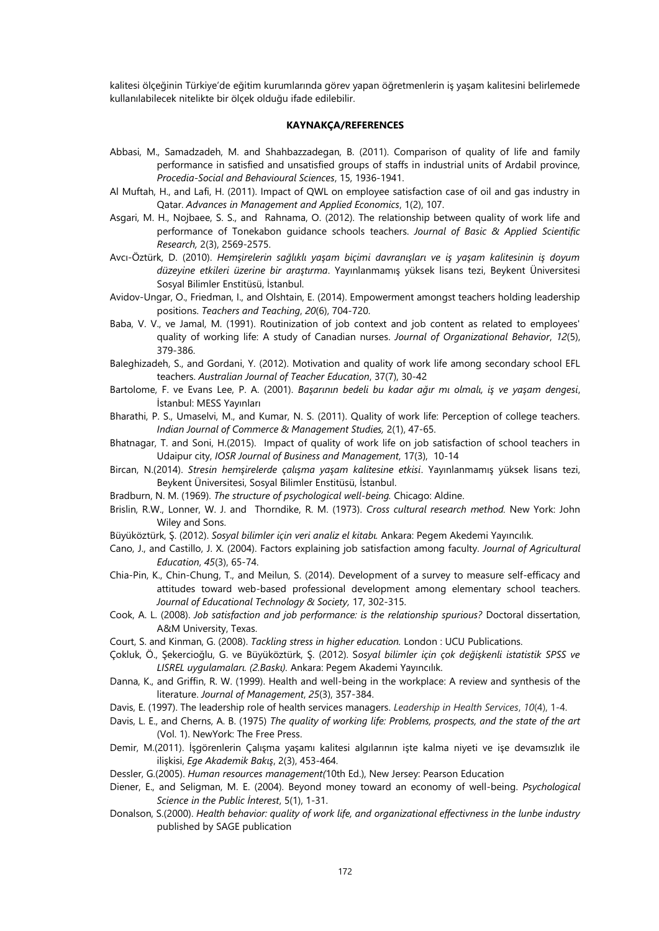kalitesi ölçeğinin Türkiye'de eğitim kurumlarında görev yapan öğretmenlerin iş yaşam kalitesini belirlemede kullanılabilecek nitelikte bir ölçek olduğu ifade edilebilir.

#### **KAYNAKÇA/REFERENCES**

- Abbasi, M., Samadzadeh, M. and Shahbazzadegan, B. (2011). Comparison of quality of life and family performance in satisfied and unsatisfied groups of staffs in industrial units of Ardabil province, *Procedia-Social and Behavioural Sciences*, 15, 1936-1941.
- Al Muftah, H., and Lafi, H. (2011). Impact of QWL on employee satisfaction case of oil and gas industry in Qatar. *Advances in Management and Applied Economics*, 1(2), 107.
- Asgari, M. H., Nojbaee, S. S., and Rahnama, O. (2012). The relationship between quality of work life and performance of Tonekabon guidance schools teachers. *Journal of Basic & Applied Scientific Research,* 2(3), 2569-2575.
- Avcı-Öztürk, D. (2010). *Hemşirelerin sağlıklı yaşam biçimi davranışları ve iş yaşam kalitesinin iş doyum düzeyine etkileri üzerine bir araştırma*. Yayınlanmamış yüksek lisans tezi, Beykent Üniversitesi Sosyal Bilimler Enstitüsü, İstanbul.
- Avidov-Ungar, O., Friedman, I., and Olshtain, E. (2014). Empowerment amongst teachers holding leadership positions. *Teachers and Teaching*, *20*(6), 704-720.
- Baba, V. V., ve Jamal, M. (1991). Routinization of job context and job content as related to employees' quality of working life: A study of Canadian nurses. *Journal of Organizational Behavior*, *12*(5), 379-386.
- Baleghizadeh, S., and Gordani, Y. (2012). Motivation and quality of work life among secondary school EFL teachers. *Australian Journal of Teacher Education*, 37(7), 30-42
- Bartolome, F. ve Evans Lee, P. A. (2001). *Başarının bedeli bu kadar ağır mı olmalı, iş ve yaşam dengesi*, İstanbul: MESS Yayınları
- Bharathi, P. S., Umaselvi, M., and Kumar, N. S. (2011). Quality of work life: Perception of college teachers. *Indian Journal of Commerce & Management Studies,* 2(1), 47-65.
- Bhatnagar, T. and Soni, H.(2015). Impact of quality of work life on job satisfaction of school teachers in Udaipur city, *IOSR Journal of Business and Management*, 17(3), 10-14
- Bircan, N.(2014). *Stresin hemşirelerde çalışma yaşam kalitesine etkisi*. Yayınlanmamış yüksek lisans tezi, Beykent Üniversitesi, Sosyal Bilimler Enstitüsü, İstanbul.
- Bradburn, N. M. (1969). *The structure of psychological well-being.* Chicago: Aldine.
- Brislin, R.W., Lonner, W. J. and Thorndike, R. M. (1973). *Cross cultural research method.* New York: John Wiley and Sons.
- Büyüköztürk, Ş. (2012). *Sosyal bilimler için veri analiz el kitabı.* Ankara: Pegem Akedemi Yayıncılık.
- Cano, J., and Castillo, J. X. (2004). Factors explaining job satisfaction among faculty. *Journal of Agricultural Education*, *45*(3), 65-74.
- Chia-Pin, K., Chin-Chung, T., and Meilun, S. (2014). Development of a survey to measure self-efficacy and attitudes toward web-based professional development among elementary school teachers. *Journal of Educational Technology & Society,* 17, 302-315.
- Cook, A. L. (2008). *Job satisfaction and job performance: is the relationship spurious?* Doctoral dissertation, A&M University, Texas.
- Court, S. and Kinman, G. (2008). *Tackling stress in higher education.* London : UCU Publications.
- Çokluk, Ö., Şekercioğlu, G. ve Büyüköztürk, Ş. (2012). S*osyal bilimler için çok değişkenli istatistik SPSS ve LISREL uygulamaları. (2.Baskı).* Ankara: Pegem Akademi Yayıncılık.
- Danna, K., and Griffin, R. W. (1999). Health and well-being in the workplace: A review and synthesis of the literature. *Journal of Management*, *25*(3), 357-384.
- Davis, E. (1997). The leadership role of health services managers. *Leadership in Health Services*, *10*(4), 1-4.
- Davis, L. E., and Cherns, A. B. (1975) *The quality of working life: Problems, prospects, and the state of the art*  (Vol. 1). NewYork: The Free Press.
- Demir, M.(2011). İşgörenlerin Çalışma yaşamı kalitesi algılarının işte kalma niyeti ve işe devamsızlık ile ilişkisi, *Ege Akademik Bakış*, 2(3), 453-464.
- Dessler, G.(2005). *Human resources management(*10th Ed.), New Jersey: Pearson Education
- Diener, E., and Seligman, M. E. (2004). Beyond money toward an economy of well-being. *Psychological Science in the Public İnterest*, 5(1), 1-31.
- Donalson, S.(2000). *Health behavior: quality of work life, and organizational effectivness in the lunbe industry* published by SAGE publication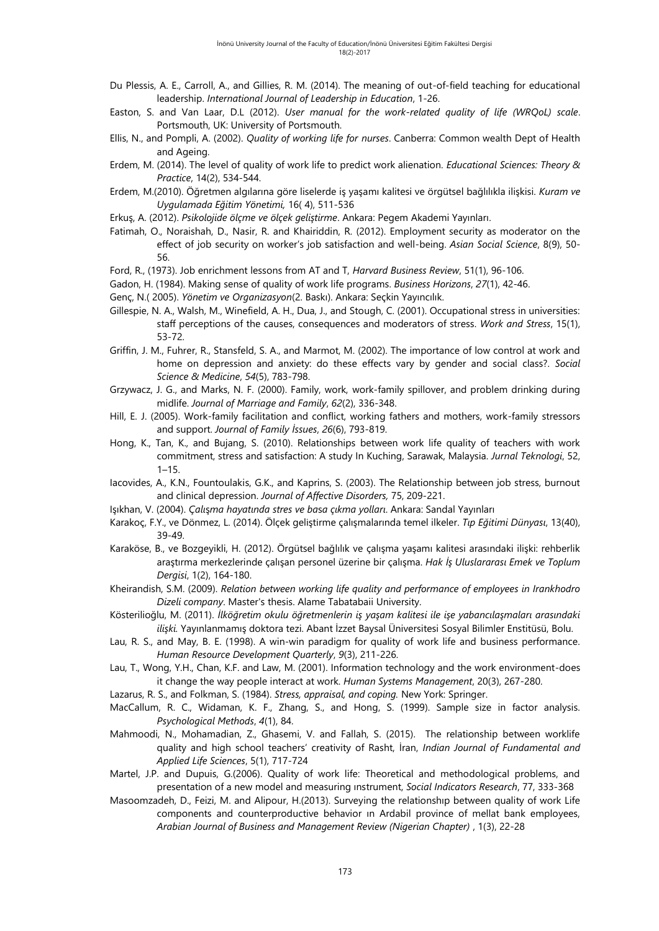- Du Plessis, A. E., Carroll, A., and Gillies, R. M. (2014). The meaning of out-of-field teaching for educational leadership. *International Journal of Leadership in Education*, 1-26.
- Easton, S. and Van Laar, D.L (2012). *User manual for the work-related quality of life (WRQoL) scale*. Portsmouth, UK: University of Portsmouth.
- Ellis, N., and Pompli, A. (2002). *Quality of working life for nurses*. Canberra: Common wealth Dept of Health and Ageing.
- Erdem, M. (2014). The level of quality of work life to predict work alienation. *Educational Sciences: Theory & Practice*, 14(2), 534-544.
- Erdem, M.(2010). Öğretmen algılarına göre liselerde iş yaşamı kalitesi ve örgütsel bağlılıkla ilişkisi. *Kuram ve Uygulamada Eğitim Yönetimi,* 16( 4), 511-536
- Erkuş, A. (2012). *Psikolojide ölçme ve ölçek geliştirme*. Ankara: Pegem Akademi Yayınları.
- Fatimah, O., Noraishah, D., Nasir, R. and Khairiddin, R. (2012). Employment security as moderator on the effect of job security on worker's job satisfaction and well-being. *Asian Social Science*, 8(9), 50- 56.
- Ford, R., (1973). Job enrichment lessons from AT and T, *Harvard Business Review*, 51(1), 96-106.
- Gadon, H. (1984). Making sense of quality of work life programs. *Business Horizons*, *27*(1), 42-46.
- Genç, N.( 2005). *Yönetim ve Organizasyon*(2. Baskı). Ankara: Seçkin Yayıncılık.
- Gillespie, N. A., Walsh, M., Winefield, A. H., Dua, J., and Stough, C. (2001). Occupational stress in universities: staff perceptions of the causes, consequences and moderators of stress. *Work and Stress*, 15(1), 53-72.
- Griffin, J. M., Fuhrer, R., Stansfeld, S. A., and Marmot, M. (2002). The importance of low control at work and home on depression and anxiety: do these effects vary by gender and social class?. *Social Science & Medicine*, *54*(5), 783-798.
- Grzywacz, J. G., and Marks, N. F. (2000). Family, work, work‐family spillover, and problem drinking during midlife. *Journal of Marriage and Family*, *62*(2), 336-348.
- Hill, E. J. (2005). Work-family facilitation and conflict, working fathers and mothers, work-family stressors and support. *Journal of Family İssues*, *26*(6), 793-819.
- Hong, K., Tan, K., and Bujang, S. (2010). Relationships between work life quality of teachers with work commitment, stress and satisfaction: A study In Kuching, Sarawak, Malaysia. *Jurnal Teknologi*, 52,  $1 - 15.$
- Iacovides, A., K.N., Fountoulakis, G.K., and Kaprins, S. (2003). The Relationship between job stress, burnout and clinical depression. *Journal of Affective Disorders,* 75, 209-221.
- Işıkhan, V. (2004). *Çalı*ş*ma hayatında stres ve ba*s*a çıkma yolları*. Ankara: Sandal Yayınları
- Karakoç, F.Y., ve Dönmez, L. (2014). Ölçek gelı̇ştı̇rme çalışmalarında temel ilkeler. *Tıp Eğitimi Dünyası*, 13(40), 39-49.
- Karaköse, B., ve Bozgeyikli, H. (2012). Örgütsel bağlılık ve çalışma yaşamı kalitesi arasındaki ilişki: rehberlik araştırma merkezlerinde çalışan personel üzerine bir çalışma. *Hak İş Uluslararası Emek ve Toplum Dergisi*, 1(2), 164-180.
- Kheirandish, S.M. (2009). *Relation between working life quality and performance of employees in Irankhodro Dizeli company*. Master's thesis. Alame Tabatabaii University.
- Kösterilioğlu, M. (2011). *İlköğretim okulu öğretmenlerin iş yaşam kalitesi ile işe yabancılaşmaları arasındaki ilişki.* Yayınlanmamış doktora tezi. Abant İzzet Baysal Üniversitesi Sosyal Bilimler Enstitüsü, Bolu.
- Lau, R. S., and May, B. E. (1998). A win-win paradigm for quality of work life and business performance. *Human Resource Development Quarterly*, *9*(3), 211-226.
- Lau, T., Wong, Y.H., Chan, K.F. and Law, M. (2001). Information technology and the work environment-does it change the way people interact at work. *Human Systems Management*, 20(3), 267-280.
- Lazarus, R. S., and Folkman, S. (1984). *Stress, appraisal, and coping.* New York: Springer.
- MacCallum, R. C., Widaman, K. F., Zhang, S., and Hong, S. (1999). Sample size in factor analysis. *Psychological Methods*, *4*(1), 84.
- Mahmoodi, N., Mohamadian, Z., Ghasemi, V. and Fallah, S. (2015). The relationship between worklife quality and high school teachers' creativity of Rasht, İran, *Indian Journal of Fundamental and Applied Life Sciences*, 5(1), 717-724
- Martel, J.P. and Dupuis, G.(2006). Quality of work life: Theoretical and methodological problems, and presentation of a new model and measuring ınstrument, *Social Indicators Research*, 77, 333-368
- Masoomzadeh, D., Feizi, M. and Alipour, H.(2013). Surveying the relationshıp between quality of work Life components and counterproductive behavior ın Ardabil province of mellat bank employees, *Arabian Journal of Business and Management Review (Nigerian Chapter)* , 1(3), 22-28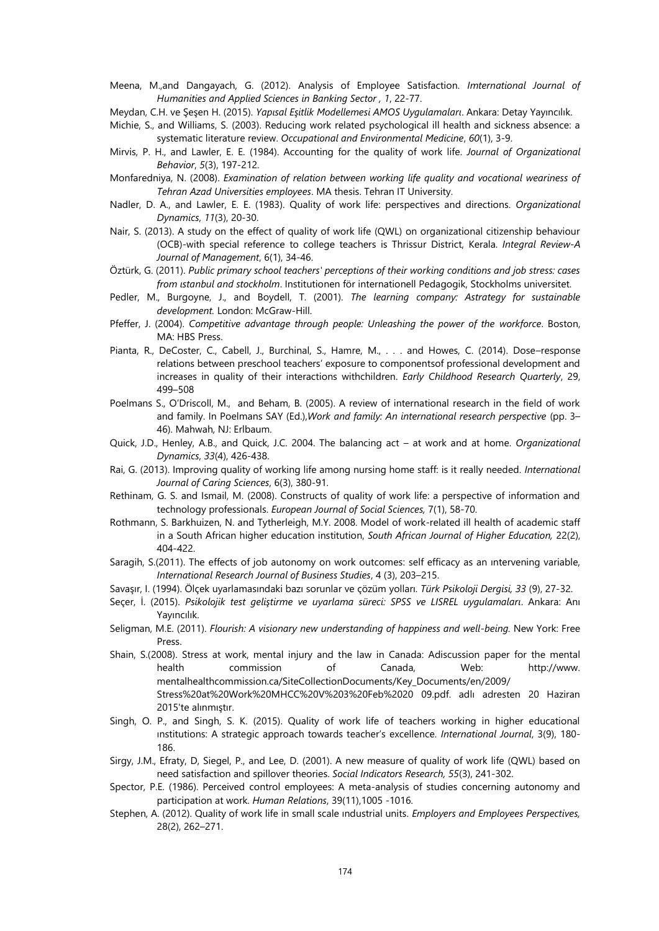- Meena, M.,and Dangayach, G. (2012). Analysis of Employee Satisfaction. *Imternational Journal of Humanities and Applied Sciences in Banking Sector , 1*, 22-77.
- Meydan, C.H. ve Şeşen H. (2015). *Yapısal Eşitlik Modellemesi AMOS Uygulamaları*. Ankara: Detay Yayıncılık.
- Michie, S., and Williams, S. (2003). Reducing work related psychological ill health and sickness absence: a systematic literature review. *Occupational and Environmental Medicine*, *60*(1), 3-9.
- Mirvis, P. H., and Lawler, E. E. (1984). Accounting for the quality of work life. *Journal of Organizational Behavior*, *5*(3), 197-212.
- Monfaredniya, N. (2008). *Examination of relation between working life quality and vocational weariness of Tehran Azad Universities employees*. MA thesis. Tehran IT University.
- Nadler, D. A., and Lawler, E. E. (1983). Quality of work life: perspectives and directions. *Organizational Dynamics*, *11*(3), 20-30.
- Nair, S. (2013). A study on the effect of quality of work life (QWL) on organizational citizenship behaviour (OCB)-with special reference to college teachers is Thrissur District, Kerala. *Integral Review-A Journal of Management*, 6(1), 34-46.
- Öztürk, G. (2011). *Public primary school teachers' perceptions of their working conditions and job stress: cases from ıstanbul and stockholm*. Institutionen för internationell Pedagogik, Stockholms universitet.
- Pedler, M., Burgoyne, J., and Boydell, T. (2001). *The learning company: Astrategy for sustainable development.* London: McGraw-Hill.
- Pfeffer, J. (2004). *Competitive advantage through people: Unleashing the power of the workforce*. Boston, MA: HBS Press.
- Pianta, R., DeCoster, C., Cabell, J., Burchinal, S., Hamre, M., . . . and Howes, C. (2014). Dose–response relations between preschool teachers' exposure to componentsof professional development and increases in quality of their interactions withchildren. *Early Childhood Research Quarterly*, 29, 499–508
- Poelmans S., O'Driscoll, M., and Beham, B. (2005). A review of international research in the field of work and family. In Poelmans SAY (Ed.), Work and family: An international research perspective (pp. 3– 46). Mahwah, NJ: Erlbaum.
- Quick, J.D., Henley, A.B., and Quick, J.C. 2004. The balancing act at work and at home. *Organizational Dynamics*, *33*(4), 426-438.
- Rai, G. (2013). Improving quality of working life among nursing home staff: is it really needed. *International Journal of Caring Sciences*, 6(3), 380-91.
- Rethinam, G. S. and Ismail, M. (2008). Constructs of quality of work life: a perspective of information and technology professionals. *European Journal of Social Sciences,* 7(1), 58-70.
- Rothmann, S. Barkhuizen, N. and Tytherleigh, M.Y. 2008. Model of work-related ill health of academic staff in a South African higher education institution, *South African Journal of Higher Education,* 22(2), 404-422.
- Saragih, S.(2011). The effects of job autonomy on work outcomes: self efficacy as an ıntervening variable, *International Research Journal of Business Studies*, 4 (3), 203–215.
- Savaşır, I. (1994). Ölçek uyarlamasındaki bazı sorunlar ve çözüm yolları. *Türk Psikoloji Dergisi, 33* (9), 27-32.
- Seçer, İ. (2015). *Psikolojik test geliştirme ve uyarlama süreci: SPSS ve LISREL uygulamaları*. Ankara: Anı Yayıncılık.
- Seligman, M.E. (2011). *Flourish: A visionary new understanding of happiness and well-being.* New York: Free Press.
- Shain, S.(2008). Stress at work, mental injury and the law in Canada: Adiscussion paper for the mental health commission of Canada, Web: http://www. mentalhealthcommission.ca/SiteCollectionDocuments/Key\_Documents/en/2009/ Stress%20at%20Work%20MHCC%20V%203%20Feb%2020 09.pdf. adlı adresten 20 Haziran 2015'te alınmıştır.
- Singh, O. P., and Singh, S. K. (2015). Quality of work life of teachers working in higher educational ınstitutions: A strategic approach towards teacher's excellence. *International Journal*, 3(9), 180- 186.
- Sirgy, J.M., Efraty, D, Siegel, P., and Lee, D. (2001). A new measure of quality of work life (QWL) based on need satisfaction and spillover theories. *Social Indicators Research, 55*(3), 241-302.
- Spector, P.E. (1986). Perceived control employees: A meta-analysis of studies concerning autonomy and participation at work. *Human Relations*, 39(11),1005 -1016.
- Stephen, A. (2012). Quality of work life in small scale ındustrial units. *Employers and Employees Perspectives,* 28(2), 262–271.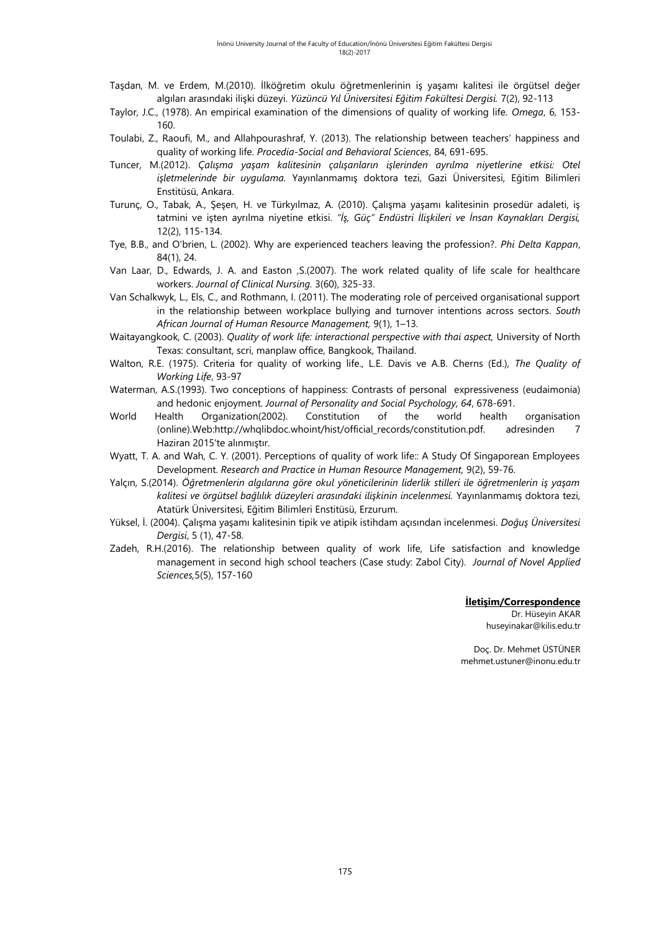- Taşdan, M. ve Erdem, M.(2010). İlköğretim okulu öğretmenlerinin iş yaşamı kalitesi ile örgütsel değer algıları arasındaki ilişki düzeyi. *Yüzüncü Yıl Üniversitesi Eğitim Fakültesi Dergisi.* 7(2), 92-113
- Taylor, J.C., (1978). An empirical examination of the dimensions of quality of working life. *Omega*, 6, 153- 160.
- Toulabi, Z., Raoufi, M., and Allahpourashraf, Y. (2013). The relationship between teachers' happiness and quality of working life. *Procedia-Social and Behavioral Sciences*, 84, 691-695.
- Tuncer, M.(2012). *Çalışma yaşam kalitesinin çalışanların işlerinden ayrılma niyetlerine etkisi: Otel işletmelerinde bir uygulama.* Yayınlanmamış doktora tezi, Gazi Üniversitesi, Eğitim Bilimleri Enstitüsü, Ankara.
- Turunç, O., Tabak, A., Şeşen, H. ve Türkyılmaz, A. (2010). Çalışma yaşamı kalitesinin prosedür adaleti, iş tatmini ve işten ayrılma niyetine etkisi. *"İş, Güç" Endüstri İlişkileri ve İnsan Kaynakları Dergisi,*  12(2), 115-134.
- Tye, B.B., and O'brien, L. (2002). Why are experienced teachers leaving the profession?. *Phi Delta Kappan*, 84(1), 24.
- Van Laar, D., Edwards, J. A. and Easton ,S.(2007). The work related quality of life scale for healthcare workers. *Journal of Clinical Nursing.* 3(60), 325-33.
- Van Schalkwyk, L., Els, C., and Rothmann, I. (2011). The moderating role of perceived organisational support in the relationship between workplace bullying and turnover intentions across sectors. *South African Journal of Human Resource Management,* 9(1), 1–13.
- Waitayangkook, C. (2003). *Quality of work life: interactional perspective with thai aspect,* University of North Texas: consultant, scri, manplaw office, Bangkook, Thailand.
- Walton, R.E. (1975). Criteria for quality of working life., L.E. Davis ve A.B. Cherns (Ed.), *The Quality of Working Life*, 93-97
- Waterman, A.S.(1993). Two conceptions of happiness: Contrasts of personal expressiveness (eudaimonia) and hedonic enjoyment. *Journal of Personality and Social Psychology, 64*, 678-691.
- World Health Organization(2002). Constitution of the world health organisation (online).Web:http://whqlibdoc.whoint/hist/official\_records/constitution.pdf. adresinden 7 Haziran 2015'te alınmıştır.
- Wyatt, T. A. and Wah, C. Y. (2001). Perceptions of quality of work life:: A Study Of Singaporean Employees Development. *Research and Practice in Human Resource Management,* 9(2), 59-76.
- Yalçın, S.(2014). *Öğretmenlerin algılarına göre okul yöneticilerinin liderlik stilleri ile öğretmenlerin iş yaşam kalitesi ve örgütsel bağlılık düzeyleri arasındaki ilişkinin incelenmesi.* Yayınlanmamış doktora tezi, Atatürk Üniversitesi, Eğitim Bilimleri Enstitüsü, Erzurum.
- Yüksel, İ. (2004). Çalışma yaşamı kalitesinin tipik ve atipik istihdam açısından incelenmesi. *Doğuş Üniversitesi Dergisi*, 5 (1), 47-58.
- Zadeh, R.H.(2016). The relationship between quality of work life, Life satisfaction and knowledge management in second high school teachers (Case study: Zabol City). *Journal of Novel Applied Sciences,*5(5), 157-160

**İletişim/Correspondence** Dr. Hüseyin AKAR huseyinakar@kilis.edu.tr

Doç. Dr. Mehmet ÜSTÜNER mehmet.ustuner@inonu.edu.tr